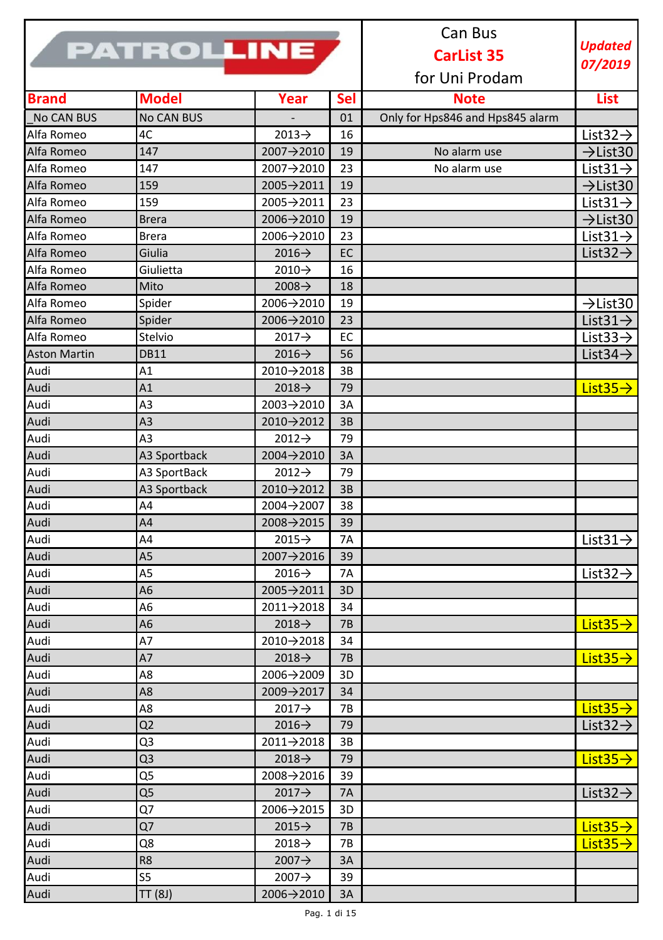|                     |                   |                    |                   | Can Bus                          |                       |
|---------------------|-------------------|--------------------|-------------------|----------------------------------|-----------------------|
|                     | <b>PATROLLINE</b> |                    | <b>CarList 35</b> | <b>Updated</b>                   |                       |
|                     |                   |                    |                   |                                  | 07/2019               |
|                     |                   |                    |                   | for Uni Prodam                   |                       |
| <b>Brand</b>        | <b>Model</b>      | Year               | <b>Sel</b>        | <b>Note</b>                      | List                  |
| <b>No CAN BUS</b>   | No CAN BUS        |                    | 01                | Only for Hps846 and Hps845 alarm |                       |
| Alfa Romeo          | 4C                | $2013 \rightarrow$ | 16                |                                  | List $32 \rightarrow$ |
| Alfa Romeo          | 147               | 2007→2010          | 19                | No alarm use                     | $\rightarrow$ List30  |
| Alfa Romeo          | 147               | 2007→2010          | 23                | No alarm use                     | List $31 \rightarrow$ |
| Alfa Romeo          | 159               | 2005→2011          | 19                |                                  | $\rightarrow$ List30  |
| Alfa Romeo          | 159               | 2005→2011          | 23                |                                  | List $31 \rightarrow$ |
| Alfa Romeo          | <b>Brera</b>      | 2006→2010          | 19                |                                  | $\rightarrow$ List30  |
| Alfa Romeo          | <b>Brera</b>      | 2006→2010          | 23                |                                  | List $31 \rightarrow$ |
| Alfa Romeo          | Giulia            | $2016 \rightarrow$ | EC                |                                  | List $32 \rightarrow$ |
| Alfa Romeo          | Giulietta         | $2010 \rightarrow$ | 16                |                                  |                       |
| Alfa Romeo          | Mito              | $2008 \rightarrow$ | 18                |                                  |                       |
| Alfa Romeo          | Spider            | 2006→2010          | 19                |                                  | $\rightarrow$ List30  |
| Alfa Romeo          | Spider            | 2006→2010          | 23                |                                  | List $31 \rightarrow$ |
| Alfa Romeo          | Stelvio           | $2017 \rightarrow$ | EC                |                                  | List $33 \rightarrow$ |
| <b>Aston Martin</b> | <b>DB11</b>       | $2016 \rightarrow$ | 56                |                                  | List $34 \rightarrow$ |
| Audi                | A1                | 2010→2018          | 3B                |                                  |                       |
| Audi                | A1                | $2018 \rightarrow$ | 79                |                                  | List $35 \rightarrow$ |
| Audi                | A3                | 2003→2010          | 3A                |                                  |                       |
| Audi                | A <sub>3</sub>    | 2010→2012          | 3B                |                                  |                       |
| Audi                | A <sub>3</sub>    | $2012 \rightarrow$ | 79                |                                  |                       |
| Audi                | A3 Sportback      | 2004→2010          | 3A                |                                  |                       |
| Audi                | A3 SportBack      | $2012 \rightarrow$ | 79                |                                  |                       |
| Audi                | A3 Sportback      | 2010→2012          | 3B                |                                  |                       |
| Audi                | A4                | 2004→2007          | 38                |                                  |                       |
| Audi                | A4                | 2008→2015          | 39                |                                  |                       |
| Audi                | A4                | $2015 \rightarrow$ | 7A                |                                  | List $31 \rightarrow$ |
| Audi                | A5                | 2007→2016          | 39                |                                  |                       |
| Audi                | A5                | 2016→              | 7A                |                                  | List $32 \rightarrow$ |
| Audi                | A <sub>6</sub>    | 2005→2011          | 3D                |                                  |                       |
| Audi                | A6                | 2011→2018          | 34                |                                  |                       |
| Audi                | A <sub>6</sub>    | $2018 \rightarrow$ | 7B                |                                  | List $35 \rightarrow$ |
| Audi                | Α7                | 2010→2018          | 34                |                                  |                       |
| Audi                | A7                | $2018 \rightarrow$ | 7B                |                                  | List $35 \rightarrow$ |
| Audi                | A8                | 2006→2009          | 3D                |                                  |                       |
| Audi                | A8                | 2009→2017          | 34                |                                  |                       |
| Audi                | A8                | $2017 \rightarrow$ | 7В                |                                  | List $35 \rightarrow$ |
| Audi                | Q2                | $2016 \rightarrow$ | 79                |                                  | List $32 \rightarrow$ |
| Audi                | Q <sub>3</sub>    | 2011→2018          | 3B                |                                  |                       |
| Audi                | Q <sub>3</sub>    | $2018 \rightarrow$ | 79                |                                  | List $35 \rightarrow$ |
| Audi                | Q5                | 2008→2016          | 39                |                                  |                       |
| Audi                | Q <sub>5</sub>    | $2017 \rightarrow$ | 7A                |                                  | List $32 \rightarrow$ |
| Audi                | Q7                | 2006→2015          | 3D                |                                  |                       |
| Audi                | Q7                | $2015 \rightarrow$ | <b>7B</b>         |                                  | List $35 \rightarrow$ |
| Audi                | Q8                | $2018 \rightarrow$ | 7B                |                                  | List $35 \rightarrow$ |
| Audi                | R8                | $2007 \rightarrow$ | 3A                |                                  |                       |
| Audi                | S5                | $2007 \rightarrow$ | 39                |                                  |                       |
| Audi                | TT(8J)            | 2006→2010          | 3A                |                                  |                       |
|                     |                   |                    |                   |                                  |                       |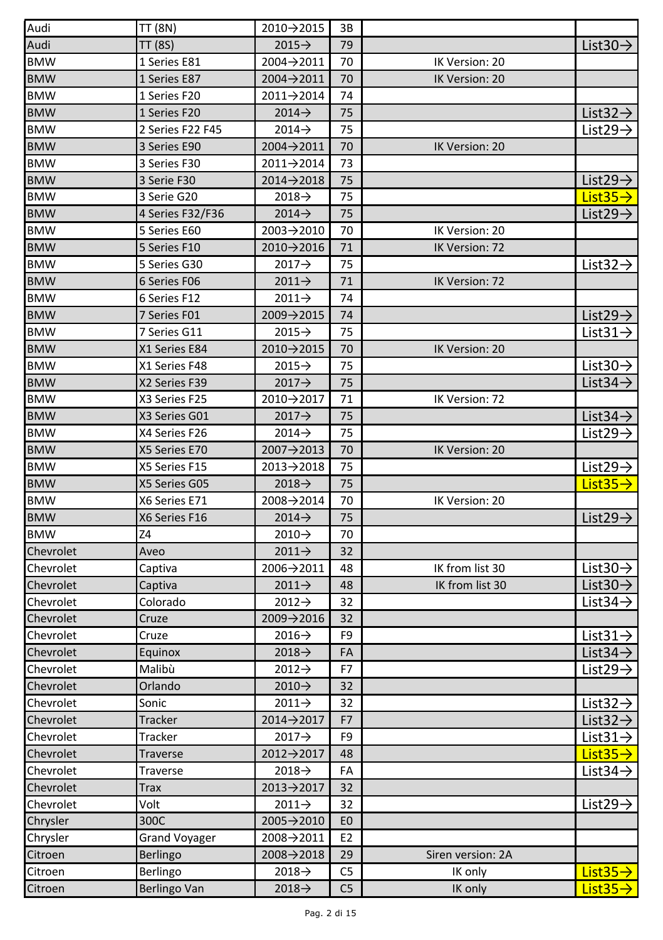| Audi       | TT (8N)              | 2010→2015          | 3B             |                   |                                  |
|------------|----------------------|--------------------|----------------|-------------------|----------------------------------|
| Audi       | TT (8S)              | $2015 \rightarrow$ | 79             |                   | List $30 \rightarrow$            |
| <b>BMW</b> | 1 Series E81         | 2004→2011          | 70             | IK Version: 20    |                                  |
| BMW        | 1 Series E87         | 2004→2011          | 70             | IK Version: 20    |                                  |
| <b>BMW</b> | 1 Series F20         | 2011→2014          | 74             |                   |                                  |
| <b>BMW</b> | 1 Series F20         | $2014 \rightarrow$ | 75             |                   | List $32 \rightarrow$            |
| <b>BMW</b> | 2 Series F22 F45     | $2014 \rightarrow$ | 75             |                   | List <sub>29</sub> $\rightarrow$ |
| <b>BMW</b> | 3 Series E90         | 2004→2011          | 70             | IK Version: 20    |                                  |
| BMW        | 3 Series F30         | 2011→2014          | 73             |                   |                                  |
| <b>BMW</b> | 3 Serie F30          | 2014→2018          | 75             |                   | List29 $\rightarrow$             |
| <b>BMW</b> | 3 Serie G20          | $2018 \rightarrow$ | 75             |                   | List $35 \rightarrow$            |
| <b>BMW</b> | 4 Series F32/F36     | $2014 \rightarrow$ | 75             |                   | List $29 \rightarrow$            |
| <b>BMW</b> | 5 Series E60         | 2003→2010          | 70             | IK Version: 20    |                                  |
| <b>BMW</b> | 5 Series F10         | 2010→2016          | 71             | IK Version: 72    |                                  |
| <b>BMW</b> | 5 Series G30         | $2017 \rightarrow$ | 75             |                   | List $32 \rightarrow$            |
| <b>BMW</b> | 6 Series F06         | $2011 \rightarrow$ | 71             | IK Version: 72    |                                  |
| <b>BMW</b> | 6 Series F12         | $2011 \rightarrow$ | 74             |                   |                                  |
| BMW        | 7 Series F01         | 2009→2015          | 74             |                   | List $29 \rightarrow$            |
| <b>BMW</b> | 7 Series G11         | $2015 \rightarrow$ | 75             |                   | List $31 \rightarrow$            |
| <b>BMW</b> | X1 Series E84        | 2010→2015          | 70             | IK Version: 20    |                                  |
| <b>BMW</b> | X1 Series F48        | $2015 \rightarrow$ | 75             |                   | List $30 \rightarrow$            |
| <b>BMW</b> | X2 Series F39        | $2017 \rightarrow$ | 75             |                   | List $34 \rightarrow$            |
| BMW        | X3 Series F25        | 2010→2017          | 71             | IK Version: 72    |                                  |
| <b>BMW</b> | X3 Series G01        | $2017 \rightarrow$ | 75             |                   | List $34 \rightarrow$            |
| <b>BMW</b> | X4 Series F26        | $2014 \rightarrow$ | 75             |                   | List $29 \rightarrow$            |
| <b>BMW</b> | X5 Series E70        | 2007→2013          | 70             | IK Version: 20    |                                  |
| BMW        | X5 Series F15        | 2013→2018          | 75             |                   | List $29 \rightarrow$            |
| <b>BMW</b> | X5 Series G05        | $2018 \rightarrow$ | 75             |                   | List $35 \rightarrow$            |
| <b>BMW</b> | X6 Series E71        | 2008→2014          | 70             | IK Version: 20    |                                  |
| <b>BMW</b> | X6 Series F16        | $2014 \rightarrow$ | 75             |                   | List29 $\rightarrow$             |
| BMW        | Z4                   | $2010 \rightarrow$ | 70             |                   |                                  |
| Chevrolet  | Aveo                 | $2011 \rightarrow$ | 32             |                   |                                  |
| Chevrolet  | Captiva              | 2006→2011          | 48             | IK from list 30   | List 30 $\rightarrow$            |
| Chevrolet  | Captiva              | $2011 \rightarrow$ | 48             | IK from list 30   | List $30 \rightarrow$            |
| Chevrolet  | Colorado             | $2012 \rightarrow$ | 32             |                   | List $34 \rightarrow$            |
| Chevrolet  | Cruze                | 2009→2016          | 32             |                   |                                  |
| Chevrolet  | Cruze                | $2016 \rightarrow$ | F <sub>9</sub> |                   | List $31 \rightarrow$            |
| Chevrolet  | Equinox              | $2018 \rightarrow$ | FA             |                   | List $34 \rightarrow$            |
| Chevrolet  | Malibù               | $2012 \rightarrow$ | F7             |                   | List $29 \rightarrow$            |
| Chevrolet  | Orlando              | $2010 \rightarrow$ | 32             |                   |                                  |
| Chevrolet  | Sonic                | $2011 \rightarrow$ | 32             |                   | List $32 \rightarrow$            |
| Chevrolet  | <b>Tracker</b>       | 2014→2017          | F7             |                   | List $32 \rightarrow$            |
| Chevrolet  | Tracker              | 2017→              | F9             |                   | List $31 \rightarrow$            |
| Chevrolet  | Traverse             | 2012→2017          | 48             |                   | $List35\rightarrow$              |
| Chevrolet  | Traverse             | 2018→              | FA             |                   | List 34 $\rightarrow$            |
| Chevrolet  | Trax                 | 2013→2017          | 32             |                   |                                  |
| Chevrolet  | Volt                 | $2011 \rightarrow$ | 32             |                   | List29 $\rightarrow$             |
| Chrysler   | 300C                 | 2005→2010          | E <sub>0</sub> |                   |                                  |
| Chrysler   | <b>Grand Voyager</b> | 2008→2011          | E <sub>2</sub> |                   |                                  |
| Citroen    | Berlingo             | 2008→2018          | 29             | Siren version: 2A |                                  |
| Citroen    | Berlingo             | $2018 \rightarrow$ | C5             | IK only           | $List35\rightarrow$              |
| Citroen    | <b>Berlingo Van</b>  | $2018 \rightarrow$ | C <sub>5</sub> | IK only           | List $35\rightarrow$             |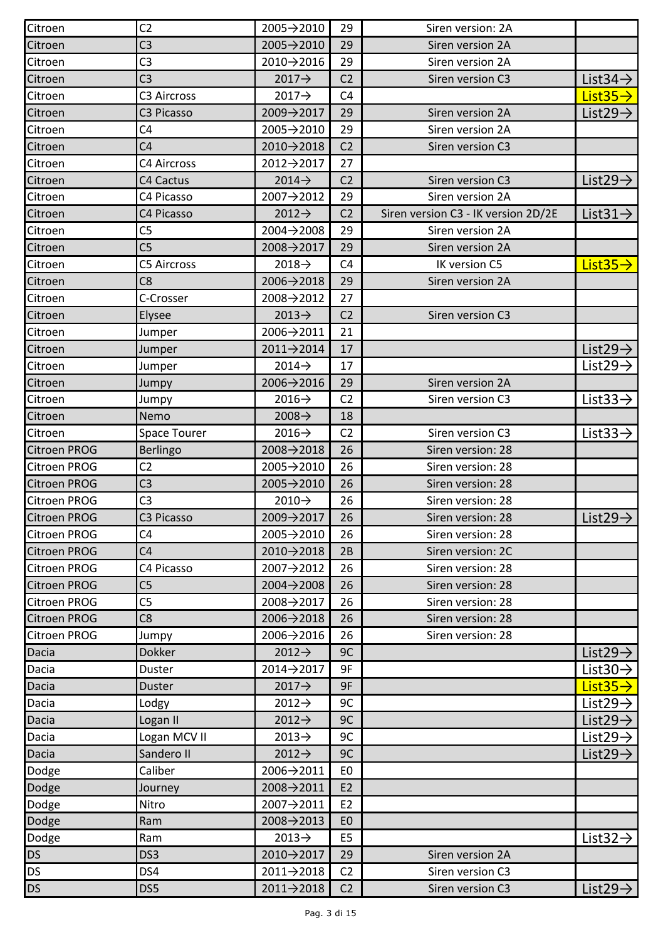| Citroen             | C <sub>2</sub>         | 2005→2010               | 29             | Siren version: 2A                   |                       |
|---------------------|------------------------|-------------------------|----------------|-------------------------------------|-----------------------|
| Citroen             | C <sub>3</sub>         | 2005→2010               | 29             | Siren version 2A                    |                       |
| Citroen             | C3                     | 2010→2016               | 29             | Siren version 2A                    |                       |
| Citroen             | C <sub>3</sub>         | $2017 \rightarrow$      | C <sub>2</sub> | Siren version C3                    | List $34 \rightarrow$ |
| Citroen             | C3 Aircross            | $2017 \rightarrow$      | C <sub>4</sub> |                                     | List $35 \rightarrow$ |
| Citroen             | C <sub>3</sub> Picasso | 2009→2017               | 29             | Siren version 2A                    | List $29 \rightarrow$ |
| Citroen             | C <sub>4</sub>         | 2005→2010               | 29             | Siren version 2A                    |                       |
| Citroen             | C <sub>4</sub>         | 2010→2018               | C <sub>2</sub> | Siren version C3                    |                       |
| Citroen             | C4 Aircross            | 2012→2017               | 27             |                                     |                       |
| Citroen             | C4 Cactus              | $2014 \rightarrow$      | C <sub>2</sub> | Siren version C3                    | List29 $\rightarrow$  |
| Citroen             | C4 Picasso             | 2007→2012               | 29             | Siren version 2A                    |                       |
| Citroen             | C4 Picasso             | $2012 \rightarrow$      | C <sub>2</sub> | Siren version C3 - IK version 2D/2E | List $31 \rightarrow$ |
| Citroen             | C5                     | $2004 \rightarrow 2008$ | 29             | Siren version 2A                    |                       |
| Citroen             | C <sub>5</sub>         | 2008→2017               | 29             | Siren version 2A                    |                       |
| Citroen             | <b>C5 Aircross</b>     | $2018 \rightarrow$      | C <sub>4</sub> | IK version C5                       | List $35 \rightarrow$ |
| Citroen             | C8                     | 2006→2018               | 29             | Siren version 2A                    |                       |
| Citroen             | C-Crosser              | 2008→2012               | 27             |                                     |                       |
| Citroen             | Elysee                 | $2013 \rightarrow$      | C <sub>2</sub> | Siren version C3                    |                       |
| Citroen             | Jumper                 | 2006→2011               | 21             |                                     |                       |
| Citroen             | Jumper                 | 2011→2014               | 17             |                                     | List $29 \rightarrow$ |
| Citroen             | Jumper                 | $2014 \rightarrow$      | 17             |                                     | List $29 \rightarrow$ |
| Citroen             | Jumpy                  | 2006→2016               | 29             | Siren version 2A                    |                       |
| Citroen             | Jumpy                  | $2016 \rightarrow$      | C <sub>2</sub> | Siren version C3                    | List $33 \rightarrow$ |
| Citroen             | Nemo                   | $2008 \rightarrow$      | 18             |                                     |                       |
| Citroen             | Space Tourer           | $2016 \rightarrow$      | C <sub>2</sub> | Siren version C3                    | List $33 \rightarrow$ |
| Citroen PROG        | Berlingo               | 2008→2018               | 26             | Siren version: 28                   |                       |
| Citroen PROG        | C2                     | 2005→2010               | 26             | Siren version: 28                   |                       |
| Citroen PROG        | C <sub>3</sub>         | 2005→2010               | 26             | Siren version: 28                   |                       |
| Citroen PROG        | C <sub>3</sub>         | $2010 \rightarrow$      | 26             | Siren version: 28                   |                       |
| <b>Citroen PROG</b> | C3 Picasso             | 2009→2017               | 26             | Siren version: 28                   | List $29 \rightarrow$ |
| <b>Citroen PROG</b> | C4                     | 2005→2010               | 26             | Siren version: 28                   |                       |
| <b>Citroen PROG</b> | C <sub>4</sub>         | 2010→2018               | 2B             | Siren version: 2C                   |                       |
| <b>Citroen PROG</b> | C4 Picasso             | 2007→2012               | 26             | Siren version: 28                   |                       |
| <b>Citroen PROG</b> | C <sub>5</sub>         | 2004→2008               | 26             | Siren version: 28                   |                       |
| <b>Citroen PROG</b> | C5                     | 2008→2017               | 26             | Siren version: 28                   |                       |
| <b>Citroen PROG</b> | C <sub>8</sub>         | 2006→2018               | 26             | Siren version: 28                   |                       |
| <b>Citroen PROG</b> | Jumpy                  | 2006→2016               | 26             | Siren version: 28                   |                       |
| Dacia               | <b>Dokker</b>          | $2012 \rightarrow$      | 9C             |                                     | List29 $\rightarrow$  |
| Dacia               | Duster                 | 2014→2017               | 9F             |                                     | List $30 \rightarrow$ |
| Dacia               | Duster                 | $2017 \rightarrow$      | 9F             |                                     | $List35\rightarrow$   |
| Dacia               | Lodgy                  | $2012 \rightarrow$      | 9C             |                                     | List $29 \rightarrow$ |
| Dacia               | Logan II               | $2012 \rightarrow$      | 9C             |                                     | List $29 \rightarrow$ |
| Dacia               | Logan MCV II           | $2013 \rightarrow$      | 9C             |                                     | List29 $\rightarrow$  |
| Dacia               | Sandero II             | 2012→                   | 9C             |                                     | List $29 \rightarrow$ |
| Dodge               | Caliber                | 2006→2011               | E0             |                                     |                       |
| Dodge               | Journey                | 2008→2011               | E <sub>2</sub> |                                     |                       |
| Dodge               | Nitro                  | 2007→2011               | E <sub>2</sub> |                                     |                       |
| Dodge               | Ram                    | 2008→2013               | E <sub>0</sub> |                                     |                       |
| Dodge               | Ram                    | $2013 \rightarrow$      | E5             |                                     | List $32 \rightarrow$ |
| <b>DS</b>           | DS3                    | 2010→2017               | 29             | Siren version 2A                    |                       |
| <b>DS</b>           | DS4                    | 2011→2018               | C <sub>2</sub> | Siren version C3                    |                       |
| <b>DS</b>           | DS5                    | 2011→2018               | C <sub>2</sub> | Siren version C3                    | List $29 \rightarrow$ |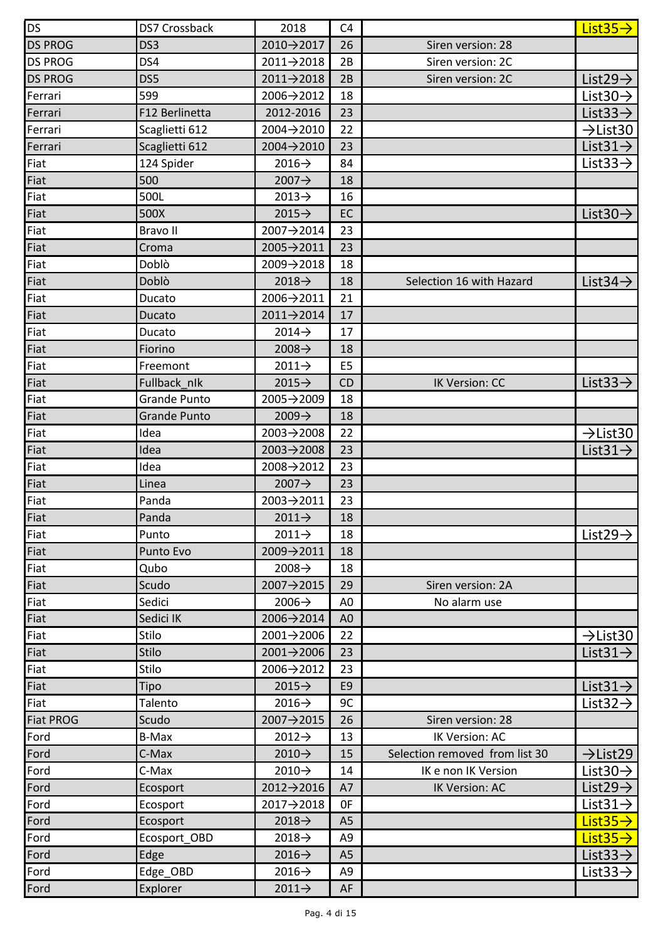| <b>DS</b>        | DS7 Crossback       | 2018                    | C4             |                                | List $35 \rightarrow$ |
|------------------|---------------------|-------------------------|----------------|--------------------------------|-----------------------|
| <b>DS PROG</b>   | DS <sub>3</sub>     | 2010→2017               | 26             | Siren version: 28              |                       |
| <b>DS PROG</b>   | DS4                 | 2011→2018               | 2B             | Siren version: 2C              |                       |
| <b>DS PROG</b>   | DS5                 | $2011 \rightarrow 2018$ | 2B             | Siren version: 2C              | List $29 \rightarrow$ |
| Ferrari          | 599                 | 2006→2012               | 18             |                                | List $30 \rightarrow$ |
| Ferrari          | F12 Berlinetta      | 2012-2016               | 23             |                                | List $33 \rightarrow$ |
| Ferrari          | Scaglietti 612      | 2004→2010               | 22             |                                | $\rightarrow$ List30  |
| Ferrari          | Scaglietti 612      | 2004→2010               | 23             |                                | List $31 \rightarrow$ |
| Fiat             | 124 Spider          | $2016 \rightarrow$      | 84             |                                | List $33 \rightarrow$ |
| Fiat             | 500                 | $2007 \rightarrow$      | 18             |                                |                       |
| Fiat             | 500L                | $2013 \rightarrow$      | 16             |                                |                       |
| Fiat             | 500X                | $2015 \rightarrow$      | EC             |                                | List $30 \rightarrow$ |
| Fiat             | Bravo II            | 2007→2014               | 23             |                                |                       |
| Fiat             | Croma               | 2005→2011               | 23             |                                |                       |
| Fiat             | Doblò               | 2009→2018               | 18             |                                |                       |
| Fiat             | Doblò               | $2018 \rightarrow$      | 18             | Selection 16 with Hazard       | List $34 \rightarrow$ |
| Fiat             | Ducato              | 2006→2011               | 21             |                                |                       |
| Fiat             | Ducato              | 2011→2014               | 17             |                                |                       |
| Fiat             | Ducato              | $2014 \rightarrow$      | 17             |                                |                       |
| Fiat             | Fiorino             | $2008 \rightarrow$      | 18             |                                |                       |
| Fiat             | Freemont            | $2011 \rightarrow$      | E5             |                                |                       |
| Fiat             | Fullback nlk        | $2015 \rightarrow$      | CD             | IK Version: CC                 | List $33 \rightarrow$ |
| Fiat             | Grande Punto        | 2005→2009               | 18             |                                |                       |
| Fiat             | <b>Grande Punto</b> | $2009 \rightarrow$      | 18             |                                |                       |
| Fiat             | Idea                | 2003→2008               | 22             |                                | $\rightarrow$ List30  |
| Fiat             | Idea                | $2003 \rightarrow 2008$ | 23             |                                | List $31 \rightarrow$ |
| Fiat             | Idea                | 2008→2012               | 23             |                                |                       |
| Fiat             | Linea               | $2007 \rightarrow$      | 23             |                                |                       |
| Fiat             | Panda               | 2003→2011               | 23             |                                |                       |
| Fiat             | Panda               | $2011 \rightarrow$      | 18             |                                |                       |
| Fiat             | Punto               | $2011 \rightarrow$      | 18             |                                | List 29 $\rightarrow$ |
| Fiat             | Punto Evo           | 2009→2011               | 18             |                                |                       |
| Fiat             | Qubo                | $2008 \rightarrow$      | 18             |                                |                       |
| Fiat             | Scudo               | 2007→2015               | 29             | Siren version: 2A              |                       |
| Fiat             | Sedici              | $2006 \rightarrow$      | A0             | No alarm use                   |                       |
| Fiat             | Sedici IK           | 2006→2014               | A0             |                                |                       |
| Fiat             | Stilo               | 2001→2006               | 22             |                                | $\rightarrow$ List30  |
| Fiat             | Stilo               | 2001→2006               | 23             |                                | List $31 \rightarrow$ |
| Fiat             | Stilo               | 2006→2012               | 23             |                                |                       |
| Fiat             | Tipo                | $2015 \rightarrow$      | E <sub>9</sub> |                                | List $31 \rightarrow$ |
| Fiat             | Talento             | $2016 \rightarrow$      | 9C             |                                | List $32 \rightarrow$ |
| <b>Fiat PROG</b> | Scudo               | 2007→2015               | 26             | Siren version: 28              |                       |
| Ford             | B-Max               | $2012 \rightarrow$      | 13             | IK Version: AC                 |                       |
| Ford             | C-Max               | 2010→                   | 15             | Selection removed from list 30 | $\rightarrow$ List29  |
| Ford             | C-Max               | 2010→                   | 14             | IK e non IK Version            | List $30 \rightarrow$ |
| Ford             | Ecosport            | 2012→2016               | A7             | IK Version: AC                 | List29 $\rightarrow$  |
| Ford             | Ecosport            | 2017→2018               | 0F             |                                | List $31 \rightarrow$ |
| Ford             | Ecosport            | $2018 \rightarrow$      | A <sub>5</sub> |                                | $List35\rightarrow$   |
| Ford             | Ecosport_OBD        | $2018 \rightarrow$      | A9             |                                | $List35\rightarrow$   |
| Ford             | Edge                | 2016→                   | A <sub>5</sub> |                                | List $33 \rightarrow$ |
| Ford             | Edge OBD            | $2016 \rightarrow$      | A9             |                                | List $33 \rightarrow$ |
| Ford             | Explorer            | $2011 \rightarrow$      | AF             |                                |                       |
|                  |                     |                         |                |                                |                       |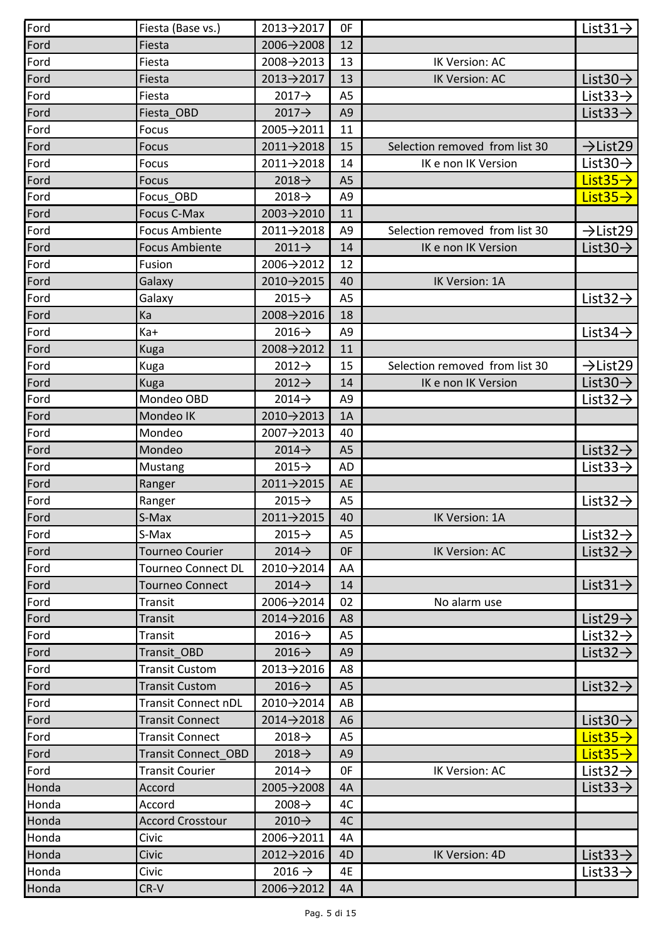| Ford  | Fiesta (Base vs.)      | 2013→2017               | 0F             |                                | List $31 \rightarrow$ |
|-------|------------------------|-------------------------|----------------|--------------------------------|-----------------------|
| Ford  | Fiesta                 | 2006→2008               | 12             |                                |                       |
| Ford  | Fiesta                 | 2008→2013               | 13             | IK Version: AC                 |                       |
| Ford  | Fiesta                 | 2013→2017               | 13             | IK Version: AC                 | List $30 \rightarrow$ |
| Ford  | Fiesta                 | $2017 \rightarrow$      | A5             |                                | List $33 \rightarrow$ |
| Ford  | Fiesta OBD             | $2017 \rightarrow$      | A <sub>9</sub> |                                | List $33 \rightarrow$ |
| Ford  | Focus                  | 2005→2011               | 11             |                                |                       |
| Ford  | Focus                  | 2011→2018               | 15             | Selection removed from list 30 | $\rightarrow$ List29  |
| Ford  | Focus                  | 2011→2018               | 14             | IK e non IK Version            | List $30 \rightarrow$ |
| Ford  | Focus                  | $2018 \rightarrow$      | A <sub>5</sub> |                                | List $35 \rightarrow$ |
| Ford  | Focus OBD              | $2018 \rightarrow$      | A9             |                                | List $35 \rightarrow$ |
| Ford  | Focus C-Max            | 2003→2010               | 11             |                                |                       |
| Ford  | <b>Focus Ambiente</b>  | 2011→2018               | A9             | Selection removed from list 30 | $\rightarrow$ List29  |
| Ford  | <b>Focus Ambiente</b>  | $2011 \rightarrow$      | 14             | IK e non IK Version            | List $30 \rightarrow$ |
| Ford  | Fusion                 | 2006→2012               | 12             |                                |                       |
| Ford  | Galaxy                 | 2010→2015               | 40             | IK Version: 1A                 |                       |
| Ford  | Galaxy                 | $2015 \rightarrow$      | A <sub>5</sub> |                                | List $32 \rightarrow$ |
| Ford  | Ka                     | 2008→2016               | 18             |                                |                       |
| Ford  | Ka+                    | $2016 \rightarrow$      | A9             |                                | List $34 \rightarrow$ |
| Ford  | Kuga                   | 2008→2012               | 11             |                                |                       |
| Ford  | Kuga                   | $2012 \rightarrow$      | 15             | Selection removed from list 30 | $\rightarrow$ List29  |
| Ford  | Kuga                   | $2012 \rightarrow$      | 14             | IK e non IK Version            | List $30 \rightarrow$ |
| Ford  | Mondeo OBD             | $2014 \rightarrow$      | A <sub>9</sub> |                                | List $32 \rightarrow$ |
| Ford  | Mondeo IK              | 2010→2013               | 1A             |                                |                       |
| Ford  | Mondeo                 | 2007→2013               | 40             |                                |                       |
| Ford  | Mondeo                 | $2014 \rightarrow$      | A <sub>5</sub> |                                | List $32 \rightarrow$ |
| Ford  | Mustang                | $2015 \rightarrow$      | AD             |                                | List $33 \rightarrow$ |
| Ford  | Ranger                 | 2011→2015               | AE             |                                |                       |
| Ford  | Ranger                 | $2015 \rightarrow$      | A5             |                                | List $32 \rightarrow$ |
| Ford  | S-Max                  | 2011→2015               | 40             | IK Version: 1A                 |                       |
| Ford  | S-Max                  | $2015 \rightarrow$      | A <sub>5</sub> |                                | List $32 \rightarrow$ |
| Ford  | <b>Tourneo Courier</b> | $2014 \rightarrow$      | 0F             | IK Version: AC                 | List $32 \rightarrow$ |
| Ford  | Tourneo Connect DL     | 2010→2014               | AA             |                                |                       |
| Ford  | Tourneo Connect        | $2014 \rightarrow$      | 14             |                                | List $31 \rightarrow$ |
| Ford  | Transit                | 2006→2014               | 02             | No alarm use                   |                       |
| Ford  | <b>Transit</b>         | 2014→2016               | A8             |                                | List $29 \rightarrow$ |
| Ford  | Transit                | $2016 \rightarrow$      | A5             |                                | List $32 \rightarrow$ |
| Ford  | Transit OBD            | $2016 \rightarrow$      | A <sub>9</sub> |                                | List $32 \rightarrow$ |
| Ford  | <b>Transit Custom</b>  | 2013→2016               | A8             |                                |                       |
| Ford  | <b>Transit Custom</b>  | $2016 \rightarrow$      | A <sub>5</sub> |                                | List $32 \rightarrow$ |
| Ford  | Transit Connect nDL    | 2010→2014               | AB             |                                |                       |
| Ford  | <b>Transit Connect</b> | 2014->2018              | A <sub>6</sub> |                                | List $30 \rightarrow$ |
| Ford  | <b>Transit Connect</b> | $2018 \rightarrow$      | A5             |                                | List 35 $\rightarrow$ |
| Ford  | Transit Connect OBD    | $2018 \rightarrow$      | A9             |                                | List $35 \rightarrow$ |
| Ford  | Transit Courier        | $2014 \rightarrow$      | 0F             | IK Version: AC                 | List $32 \rightarrow$ |
| Honda | Accord                 | $2005 \rightarrow 2008$ | 4A             |                                | List $33 \rightarrow$ |
| Honda | Accord                 | $2008 \rightarrow$      | 4C             |                                |                       |
| Honda | Accord Crosstour       | $2010 \rightarrow$      | 4C             |                                |                       |
| Honda | Civic                  | 2006→2011               | 4A             |                                |                       |
| Honda | Civic                  | 2012→2016               | 4D             | IK Version: 4D                 | List $33 \rightarrow$ |
| Honda | Civic                  | $2016 \rightarrow$      | 4E             |                                | List $33 \rightarrow$ |
| Honda | CR-V                   | 2006→2012               | 4A             |                                |                       |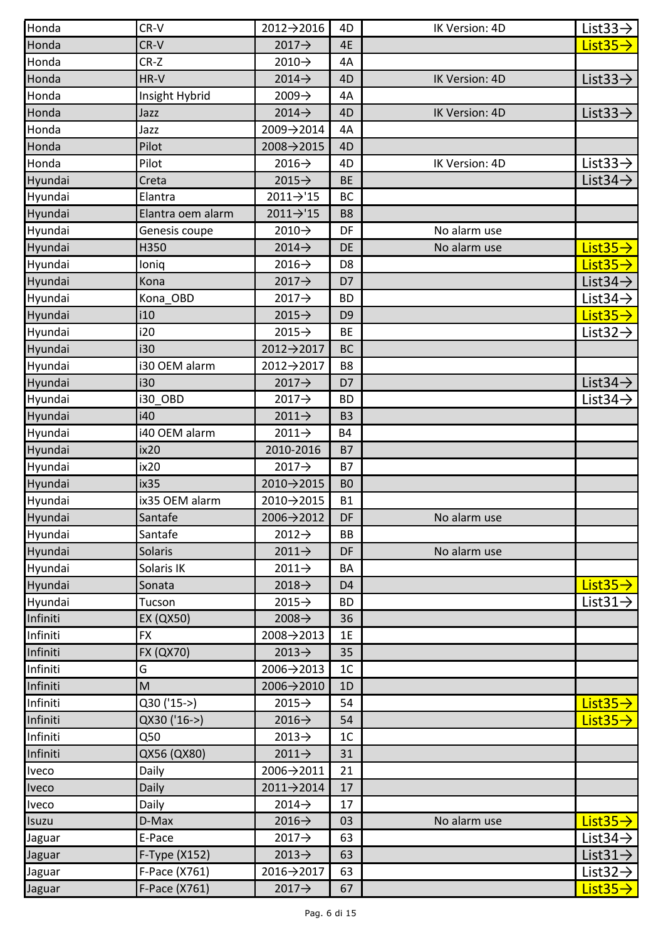| Honda    | CR-V              | 2012→2016          | 4D             | IK Version: 4D | List $33 \rightarrow$ |
|----------|-------------------|--------------------|----------------|----------------|-----------------------|
| Honda    | CR-V              | $2017 \rightarrow$ | 4E             |                | List $35 \rightarrow$ |
| Honda    | CR-Z              | $2010 \rightarrow$ | 4A             |                |                       |
| Honda    | HR-V              | $2014 \rightarrow$ | 4D             | IK Version: 4D | List $33 \rightarrow$ |
| Honda    | Insight Hybrid    | $2009 \rightarrow$ | 4A             |                |                       |
| Honda    | Jazz              | $2014 \rightarrow$ | 4D             | IK Version: 4D | List $33 \rightarrow$ |
| Honda    | Jazz              | 2009→2014          | 4A             |                |                       |
| Honda    | Pilot             | 2008→2015          | 4D             |                |                       |
| Honda    | Pilot             | $2016 \rightarrow$ | 4D             | IK Version: 4D | List $33 \rightarrow$ |
| Hyundai  | Creta             | $2015 \rightarrow$ | <b>BE</b>      |                | List $34 \rightarrow$ |
| Hyundai  | Elantra           | 2011→'15           | BC             |                |                       |
| Hyundai  | Elantra oem alarm | 2011→'15           | B <sub>8</sub> |                |                       |
| Hyundai  | Genesis coupe     | $2010 \rightarrow$ | DF             | No alarm use   |                       |
| Hyundai  | H350              | $2014 \rightarrow$ | DE             | No alarm use   | List $35 \rightarrow$ |
| Hyundai  | loniq             | $2016 \rightarrow$ | D <sub>8</sub> |                | List $35 \rightarrow$ |
| Hyundai  | Kona              | $2017 \rightarrow$ | D7             |                | List $34 \rightarrow$ |
| Hyundai  | Kona_OBD          | $2017 \rightarrow$ | BD             |                | List $34 \rightarrow$ |
| Hyundai  | i10               | $2015 \rightarrow$ | D <sub>9</sub> |                | List $35 \rightarrow$ |
| Hyundai  | i20               | $2015 \rightarrow$ | BE             |                | List $32 \rightarrow$ |
| Hyundai  | i30               | 2012→2017          | <b>BC</b>      |                |                       |
| Hyundai  | i30 OEM alarm     | 2012→2017          | B8             |                |                       |
| Hyundai  | i30               | $2017 \rightarrow$ | D7             |                | List $34 \rightarrow$ |
| Hyundai  | i30 OBD           | $2017 \rightarrow$ | BD             |                | List 34 $\rightarrow$ |
| Hyundai  | i40               | $2011 \rightarrow$ | B <sub>3</sub> |                |                       |
| Hyundai  | i40 OEM alarm     | $2011 \rightarrow$ | <b>B4</b>      |                |                       |
| Hyundai  | ix20              | 2010-2016          | <b>B7</b>      |                |                       |
| Hyundai  | ix20              | $2017 \rightarrow$ | B7             |                |                       |
| Hyundai  | ix35              | 2010→2015          | B <sub>0</sub> |                |                       |
| Hyundai  | ix35 OEM alarm    | 2010→2015          | <b>B1</b>      |                |                       |
| Hyundai  | Santafe           | 2006→2012          | DF             | No alarm use   |                       |
| Hyundai  | Santafe           | $2012 \rightarrow$ | BB             |                |                       |
| Hyundai  | Solaris           | $2011 \rightarrow$ | DF             | No alarm use   |                       |
| Hyundai  | Solaris IK        | $2011 \rightarrow$ | BA             |                |                       |
| Hyundai  | Sonata            | $2018 \rightarrow$ | D <sub>4</sub> |                | List $35 \rightarrow$ |
| Hyundai  | Tucson            | $2015 \rightarrow$ | ВD             |                | List $31 \rightarrow$ |
| Infiniti | EX (QX50)         | $2008 \rightarrow$ | 36             |                |                       |
| Infiniti | FX                | 2008→2013          | 1E             |                |                       |
| Infiniti | FX (QX70)         | $2013 \rightarrow$ | 35             |                |                       |
| Infiniti | G                 | 2006→2013          | 1 <sup>C</sup> |                |                       |
| Infiniti | M                 | 2006→2010          | 1D             |                |                       |
| Infiniti | Q30 ('15->)       | $2015 \rightarrow$ | 54             |                | List $35 \rightarrow$ |
| Infiniti | QX30 ('16->)      | $2016 \rightarrow$ | 54             |                | List $35 \rightarrow$ |
| Infiniti | Q50               | $2013 \rightarrow$ | 1C             |                |                       |
| Infiniti | QX56 (QX80)       | $2011 \rightarrow$ | 31             |                |                       |
| Iveco    | Daily             | 2006→2011          | 21             |                |                       |
| Iveco    | Daily             | 2011→2014          | 17             |                |                       |
| Iveco    | Daily             | $2014 \rightarrow$ | 17             |                |                       |
| Isuzu    | D-Max             | $2016 \rightarrow$ | 03             | No alarm use   | $List35\rightarrow$   |
| Jaguar   | E-Pace            | $2017 \rightarrow$ | 63             |                | List 34 $\rightarrow$ |
| Jaguar   | F-Type (X152)     | $2013 \rightarrow$ | 63             |                | List $31 \rightarrow$ |
| Jaguar   | F-Pace (X761)     | 2016→2017          | 63             |                | List $32 \rightarrow$ |
| Jaguar   | F-Pace (X761)     | 2017→              | 67             |                | List $35 \rightarrow$ |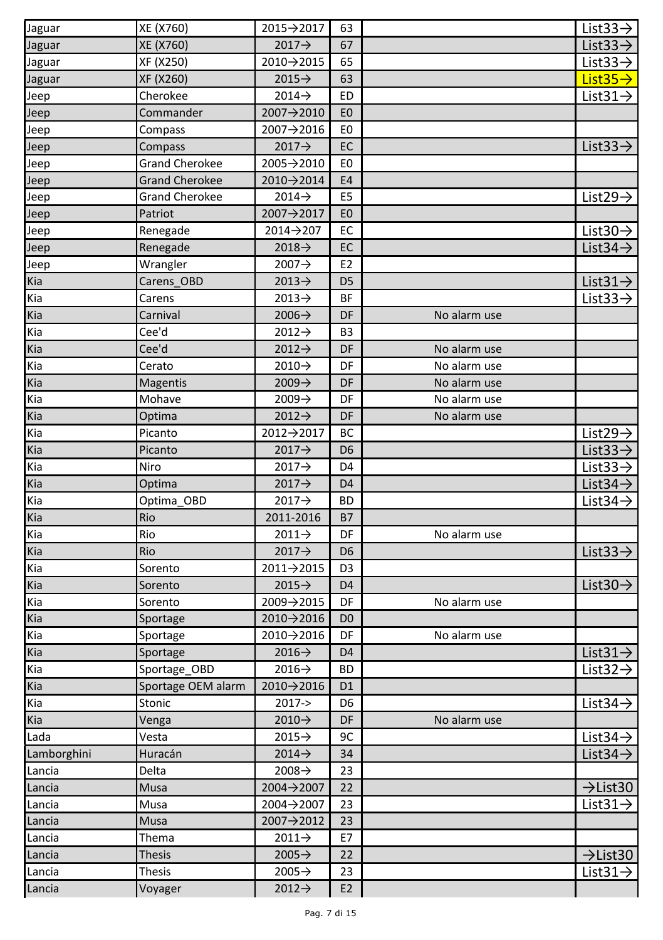| Jaguar      | XE (X760)             | 2015→2017          | 63             |              | List $33 \rightarrow$ |
|-------------|-----------------------|--------------------|----------------|--------------|-----------------------|
| Jaguar      | XE (X760)             | $2017 \rightarrow$ | 67             |              | List $33 \rightarrow$ |
| Jaguar      | XF (X250)             | 2010→2015          | 65             |              | List $33 \rightarrow$ |
| Jaguar      | XF (X260)             | $2015 \rightarrow$ | 63             |              | $List35\rightarrow$   |
| Jeep        | Cherokee              | $2014 \rightarrow$ | ED             |              | List $31 \rightarrow$ |
| Jeep        | Commander             | 2007→2010          | E <sub>0</sub> |              |                       |
| Jeep        | Compass               | 2007→2016          | E <sub>0</sub> |              |                       |
| Jeep        | Compass               | $2017 \rightarrow$ | EC             |              | List $33 \rightarrow$ |
| Jeep        | <b>Grand Cherokee</b> | 2005→2010          | E0             |              |                       |
| Jeep        | <b>Grand Cherokee</b> | 2010→2014          | <b>E4</b>      |              |                       |
| Jeep        | <b>Grand Cherokee</b> | $2014 \rightarrow$ | E <sub>5</sub> |              | List $29 \rightarrow$ |
| Jeep        | Patriot               | 2007→2017          | E <sub>0</sub> |              |                       |
| Jeep        | Renegade              | 2014→207           | EC             |              | List $30 \rightarrow$ |
| Jeep        | Renegade              | $2018 \rightarrow$ | EC             |              | List $34 \rightarrow$ |
| Jeep        | Wrangler              | $2007 \rightarrow$ | E <sub>2</sub> |              |                       |
| Kia         | Carens OBD            | $2013 \rightarrow$ | D <sub>5</sub> |              | List $31 \rightarrow$ |
| Kia         | Carens                | $2013 \rightarrow$ | <b>BF</b>      |              | List $33 \rightarrow$ |
| Kia         | Carnival              | $2006 \rightarrow$ | DF             | No alarm use |                       |
| Kia         | Cee'd                 | $2012 \rightarrow$ | B3             |              |                       |
| Kia         | Cee'd                 | $2012 \rightarrow$ | DF             | No alarm use |                       |
| Kia         | Cerato                | $2010 \rightarrow$ | DF             | No alarm use |                       |
| Kia         | <b>Magentis</b>       | $2009 \rightarrow$ | DF             | No alarm use |                       |
| Kia         | Mohave                | $2009 \rightarrow$ | DF             | No alarm use |                       |
| Kia         | Optima                | $2012 \rightarrow$ | DF             | No alarm use |                       |
| Kia         | Picanto               | 2012→2017          | BC             |              | List29 $\rightarrow$  |
| Kia         | Picanto               | 2017→              | D <sub>6</sub> |              | List $33 \rightarrow$ |
| Kia         | Niro                  | $2017 \rightarrow$ | D <sub>4</sub> |              | List $33 \rightarrow$ |
| Kia         | Optima                | $2017 \rightarrow$ | D <sub>4</sub> |              | List $34 \rightarrow$ |
| Kia         | Optima OBD            | $2017 \rightarrow$ | <b>BD</b>      |              | List $34 \rightarrow$ |
| Kia         | Rio                   | 2011-2016          | <b>B7</b>      |              |                       |
| Kia         | Rio                   | $2011 \rightarrow$ | DF             | No alarm use |                       |
| Kia         | Rio                   | $2017 \rightarrow$ | D <sub>6</sub> |              | List $33 \rightarrow$ |
| Kia         | Sorento               | 2011→2015          | D <sub>3</sub> |              |                       |
| Kia         | Sorento               | $2015 \rightarrow$ | D <sub>4</sub> |              | List $30 \rightarrow$ |
| Kia         | Sorento               | 2009→2015          | DF             | No alarm use |                       |
| Kia         | Sportage              | 2010→2016          | D <sub>0</sub> |              |                       |
| Kia         | Sportage              | 2010→2016          | DF             | No alarm use |                       |
| Kia         | Sportage              | $2016 \rightarrow$ | D <sub>4</sub> |              | List $31 \rightarrow$ |
| Kia         | Sportage_OBD          | $2016 \rightarrow$ | <b>BD</b>      |              | List $32 \rightarrow$ |
| Kia         | Sportage OEM alarm    | 2010→2016          | D <sub>1</sub> |              |                       |
| Kia         | Stonic                | $2017 - >$         | D6             |              | List $34 \rightarrow$ |
| Kia         | Venga                 | 2010→              | DF             | No alarm use |                       |
| Lada        | Vesta                 | $2015 \rightarrow$ | 9C             |              | List $34 \rightarrow$ |
| Lamborghini | Huracán               | $2014 \rightarrow$ | 34             |              | List $34 \rightarrow$ |
| Lancia      | Delta                 | $2008 \rightarrow$ | 23             |              |                       |
| Lancia      | Musa                  | 2004→2007          | 22             |              | $\rightarrow$ List30  |
| Lancia      | Musa                  | 2004→2007          | 23             |              | List $31 \rightarrow$ |
| Lancia      | Musa                  | 2007→2012          | 23             |              |                       |
| Lancia      | Thema                 | $2011 \rightarrow$ | E7             |              |                       |
| Lancia      | Thesis                | $2005 \rightarrow$ | 22             |              | $\rightarrow$ List30  |
| Lancia      | <b>Thesis</b>         | $2005 \rightarrow$ | 23             |              | List $31 \rightarrow$ |
| Lancia      | Voyager               | $2012 \rightarrow$ | E <sub>2</sub> |              |                       |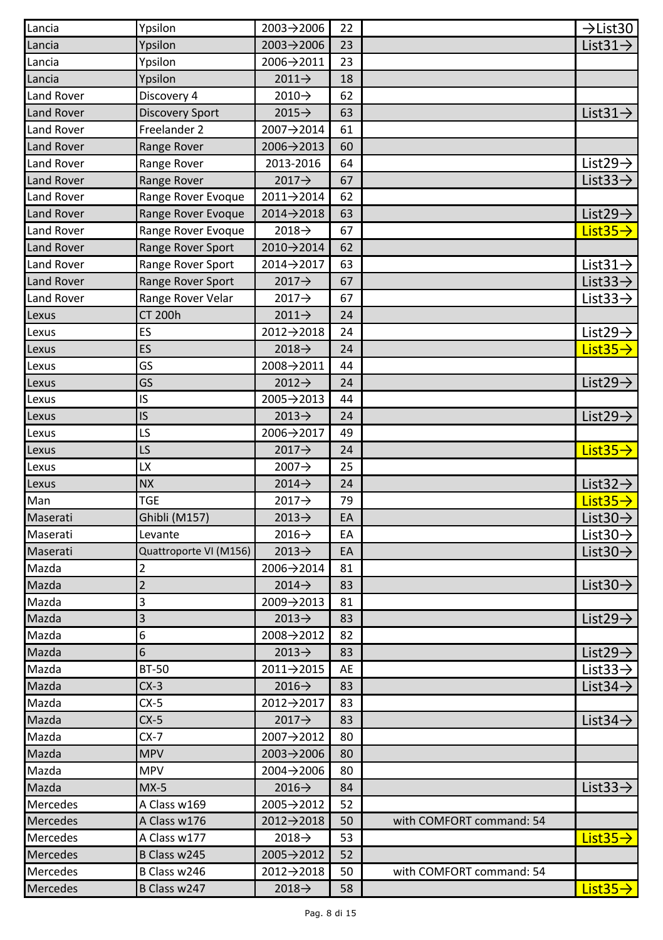| Lancia            | Ypsilon                | 2003→2006               | 22 |                          | $\rightarrow$ List30  |
|-------------------|------------------------|-------------------------|----|--------------------------|-----------------------|
| Lancia            | Ypsilon                | 2003→2006               | 23 |                          | List $31 \rightarrow$ |
| Lancia            | Ypsilon                | 2006→2011               | 23 |                          |                       |
| Lancia            | Ypsilon                | $2011 \rightarrow$      | 18 |                          |                       |
| <b>Land Rover</b> | Discovery 4            | $2010 \rightarrow$      | 62 |                          |                       |
| <b>Land Rover</b> | <b>Discovery Sport</b> | $2015 \rightarrow$      | 63 |                          | List $31 \rightarrow$ |
| Land Rover        | Freelander 2           | 2007→2014               | 61 |                          |                       |
| Land Rover        | Range Rover            | $2006 \rightarrow 2013$ | 60 |                          |                       |
| Land Rover        | Range Rover            | 2013-2016               | 64 |                          | List $29 \rightarrow$ |
| <b>Land Rover</b> | Range Rover            | 2017→                   | 67 |                          | List $33 \rightarrow$ |
| <b>Land Rover</b> | Range Rover Evoque     | 2011→2014               | 62 |                          |                       |
| <b>Land Rover</b> | Range Rover Evoque     | 2014→2018               | 63 |                          | List $29 \rightarrow$ |
| Land Rover        | Range Rover Evoque     | $2018 \rightarrow$      | 67 |                          | List $35 \rightarrow$ |
| <b>Land Rover</b> | Range Rover Sport      | 2010→2014               | 62 |                          |                       |
| Land Rover        | Range Rover Sport      | 2014→2017               | 63 |                          | List $31 \rightarrow$ |
| <b>Land Rover</b> | Range Rover Sport      | $2017 \rightarrow$      | 67 |                          | List $33 \rightarrow$ |
| Land Rover        | Range Rover Velar      | $2017 \rightarrow$      | 67 |                          | List $33 \rightarrow$ |
| Lexus             | <b>CT 200h</b>         | $2011 \rightarrow$      | 24 |                          |                       |
| Lexus             | ES                     | $2012 \rightarrow 2018$ | 24 |                          | List $29 \rightarrow$ |
| Lexus             | ES                     | $2018 \rightarrow$      | 24 |                          | List $35 \rightarrow$ |
| Lexus             | GS                     | 2008→2011               | 44 |                          |                       |
| Lexus             | GS                     | $2012 \rightarrow$      | 24 |                          | List $29 \rightarrow$ |
| Lexus             | IS                     | 2005→2013               | 44 |                          |                       |
| Lexus             | IS                     | $2013 \rightarrow$      | 24 |                          | List $29 \rightarrow$ |
| Lexus             | LS                     | 2006→2017               | 49 |                          |                       |
| Lexus             | LS                     | $2017 \rightarrow$      | 24 |                          | $List35\rightarrow$   |
| Lexus             | LX                     | $2007 \rightarrow$      | 25 |                          |                       |
| Lexus             | <b>NX</b>              | $2014 \rightarrow$      | 24 |                          | List $32 \rightarrow$ |
| Man               | <b>TGE</b>             | $2017 \rightarrow$      | 79 |                          | List $35\rightarrow$  |
| Maserati          | Ghibli (M157)          | $2013 \rightarrow$      | EA |                          | List $30 \rightarrow$ |
| Maserati          | Levante                | $2016 \rightarrow$      | EA |                          | List 30 $\rightarrow$ |
| Maserati          | Quattroporte VI (M156) | $2013 \rightarrow$      | EA |                          | List $30 \rightarrow$ |
| Mazda             | 2                      | 2006→2014               | 81 |                          |                       |
| Mazda             | $\overline{2}$         | $2014 \rightarrow$      | 83 |                          | List $30 \rightarrow$ |
| Mazda             | 3                      | 2009→2013               | 81 |                          |                       |
| Mazda             | 3                      | $2013 \rightarrow$      | 83 |                          | List $29 \rightarrow$ |
| Mazda             | 6                      | 2008→2012               | 82 |                          |                       |
| Mazda             | 6                      | $2013 \rightarrow$      | 83 |                          | List $29 \rightarrow$ |
| Mazda             | <b>BT-50</b>           | 2011→2015               | AE |                          | List $33 \rightarrow$ |
| Mazda             | $CX-3$                 | $2016 \rightarrow$      | 83 |                          | List $34 \rightarrow$ |
| Mazda             | CX-5                   | 2012→2017               | 83 |                          |                       |
| Mazda             | $CX-5$                 | $2017 \rightarrow$      | 83 |                          | List $34 \rightarrow$ |
| Mazda             | $CX-7$                 | 2007→2012               | 80 |                          |                       |
| Mazda             | <b>MPV</b>             | $2003 \rightarrow 2006$ | 80 |                          |                       |
| Mazda             | MPV                    | 2004→2006               | 80 |                          |                       |
| Mazda             | $MX-5$                 | $2016 \rightarrow$      | 84 |                          | List $33 \rightarrow$ |
| Mercedes          | A Class w169           | 2005→2012               | 52 |                          |                       |
| Mercedes          | A Class w176           | 2012→2018               | 50 | with COMFORT command: 54 |                       |
| Mercedes          | A Class w177           | $2018 \rightarrow$      | 53 |                          | List $35 \rightarrow$ |
| Mercedes          | B Class w245           | 2005→2012               | 52 |                          |                       |
| <b>Mercedes</b>   | B Class w246           | 2012→2018               | 50 | with COMFORT command: 54 |                       |
| Mercedes          | B Class w247           | 2018 $\rightarrow$      | 58 |                          | List $35 \rightarrow$ |
|                   |                        |                         |    |                          |                       |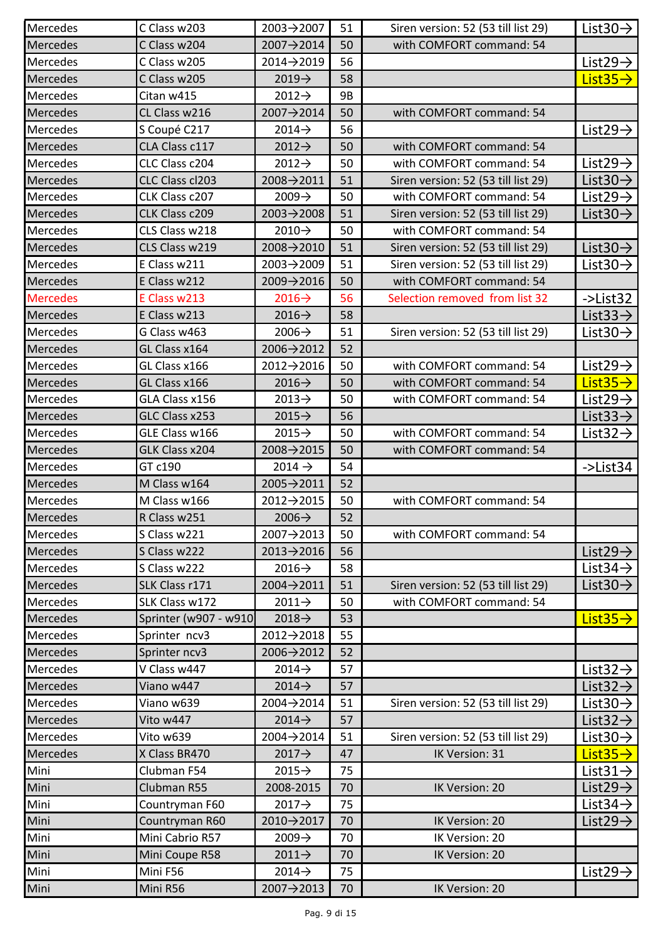| Mercedes                 | C Class w203          | $2003 \rightarrow 2007$ | 51 | Siren version: 52 (53 till list 29) | List $30 \rightarrow$                 |
|--------------------------|-----------------------|-------------------------|----|-------------------------------------|---------------------------------------|
| Mercedes                 | C Class w204          | 2007→2014               | 50 | with COMFORT command: 54            |                                       |
| Mercedes                 | C Class w205          | 2014→2019               | 56 |                                     | List $29 \rightarrow$                 |
| <b>Mercedes</b>          | C Class w205          | $2019 \rightarrow$      | 58 |                                     | List $35 \rightarrow$                 |
| Mercedes                 | Citan w415            | $2012 \rightarrow$      | 9Β |                                     |                                       |
| Mercedes                 | CL Class w216         | 2007→2014               | 50 | with COMFORT command: 54            |                                       |
| Mercedes                 | S Coupé C217          | $2014 \rightarrow$      | 56 |                                     | List $29 \rightarrow$                 |
| <b>Mercedes</b>          | CLA Class c117        | $2012 \rightarrow$      | 50 | with COMFORT command: 54            |                                       |
| Mercedes                 | CLC Class c204        | $2012 \rightarrow$      | 50 | with COMFORT command: 54            | List $29 \rightarrow$                 |
| Mercedes                 | CLC Class cl203       | 2008→2011               | 51 | Siren version: 52 (53 till list 29) | List $30 \rightarrow$                 |
| Mercedes                 | CLK Class c207        | $2009 \rightarrow$      | 50 | with COMFORT command: 54            | List $29 \rightarrow$                 |
| Mercedes                 | CLK Class c209        | $2003 \rightarrow 2008$ | 51 | Siren version: 52 (53 till list 29) | List $30 \rightarrow$                 |
| Mercedes                 | CLS Class w218        | $2010 \rightarrow$      | 50 | with COMFORT command: 54            |                                       |
| Mercedes                 | CLS Class w219        | 2008→2010               | 51 | Siren version: 52 (53 till list 29) | List $30 \rightarrow$                 |
| Mercedes                 | E Class w211          | $2003 \rightarrow 2009$ | 51 | Siren version: 52 (53 till list 29) | List 30 $\rightarrow$                 |
| <b>Mercedes</b>          | E Class w212          | 2009→2016               | 50 | with COMFORT command: 54            |                                       |
| <b>Mercedes</b>          | E Class w213          | $2016 \rightarrow$      | 56 | Selection removed from list 32      | ->List32                              |
| <b>Mercedes</b>          | E Class w213          | $2016 \rightarrow$      | 58 |                                     | List $33 \rightarrow$                 |
| Mercedes                 | G Class w463          | $2006 \rightarrow$      | 51 | Siren version: 52 (53 till list 29) | <u>List30<math>\rightarrow</math></u> |
| <b>Mercedes</b>          | GL Class x164         | 2006→2012               | 52 |                                     |                                       |
| Mercedes                 | GL Class x166         | 2012→2016               | 50 | with COMFORT command: 54            | List $29 \rightarrow$                 |
| <b>Mercedes</b>          | GL Class x166         | $2016 \rightarrow$      | 50 | with COMFORT command: 54            | $List35\rightarrow$                   |
| Mercedes                 | GLA Class x156        | $2013 \rightarrow$      | 50 | with COMFORT command: 54            | List29 $\rightarrow$                  |
| <b>Mercedes</b>          | GLC Class x253        | $2015 \rightarrow$      | 56 |                                     | List $33 \rightarrow$                 |
| Mercedes                 | GLE Class w166        | $2015 \rightarrow$      | 50 | with COMFORT command: 54            | List 32 $\rightarrow$                 |
| <b>Mercedes</b>          | GLK Class x204        | $2008 \rightarrow 2015$ | 50 | with COMFORT command: 54            |                                       |
| Mercedes                 | GT c190               | 2014 →                  | 54 |                                     | ->List34                              |
| <b>Mercedes</b>          | M Class w164          | $2005 \rightarrow 2011$ | 52 |                                     |                                       |
| Mercedes                 | M Class w166          | 2012→2015               | 50 | with COMFORT command: 54            |                                       |
| Mercedes                 | R Class w251          | $2006 \rightarrow$      | 52 |                                     |                                       |
| Mercedes                 | S Class w221          | 2007→2013               | 50 | with COMFORT command: 54            |                                       |
| Mercedes                 | S Class w222          | $2013 \rightarrow 2016$ | 56 |                                     | List $29 \rightarrow$                 |
| Mercedes                 | S Class w222          | $2016 \rightarrow$      | 58 |                                     | List $34 \rightarrow$                 |
| Mercedes                 | SLK Class r171        | 2004→2011               | 51 | Siren version: 52 (53 till list 29) | List $30 \rightarrow$                 |
| Mercedes                 | SLK Class w172        | $2011 \rightarrow$      | 50 | with COMFORT command: 54            |                                       |
| Mercedes                 | Sprinter (w907 - w910 | $2018 \rightarrow$      | 53 |                                     | $List35\rightarrow$                   |
| Mercedes                 | Sprinter ncv3         | $2012 \rightarrow 2018$ | 55 |                                     |                                       |
| Mercedes                 | Sprinter ncv3         | 2006→2012               | 52 |                                     |                                       |
| Mercedes                 | V Class w447          | $2014 \rightarrow$      | 57 |                                     | List $32 \rightarrow$                 |
| <b>Mercedes</b>          | Viano w447            | $2014 \rightarrow$      | 57 |                                     | List $32 \rightarrow$                 |
| Mercedes                 | Viano w639            | $2004 \rightarrow 2014$ | 51 | Siren version: 52 (53 till list 29) | List 30 $\rightarrow$                 |
| Mercedes                 | Vito w447             | $2014 \rightarrow$      | 57 |                                     | List $32 \rightarrow$                 |
| Mercedes                 | Vito w639             | 2004→2014               | 51 | Siren version: 52 (53 till list 29) | List $30 \rightarrow$                 |
| Mercedes                 | X Class BR470         | 2017→                   | 47 | IK Version: 31                      | List $35 \rightarrow$                 |
| Mini                     | Clubman F54           | $2015 \rightarrow$      | 75 |                                     | List $31 \rightarrow$                 |
| Mini                     | Clubman R55           | 2008-2015               | 70 | IK Version: 20                      | List $29 \rightarrow$                 |
| $\overline{\text{Mini}}$ | Countryman F60        | $2017 \rightarrow$      | 75 |                                     | List 34 $\rightarrow$                 |
| Mini                     | Countryman R60        | 2010→2017               | 70 | IK Version: 20                      | List $29 \rightarrow$                 |
| Mini                     | Mini Cabrio R57       | $2009 \rightarrow$      | 70 | IK Version: 20                      |                                       |
| Mini                     | Mini Coupe R58        | $2011 \rightarrow$      | 70 | IK Version: 20                      |                                       |
| Mini                     | Mini F56              | $2014 \rightarrow$      | 75 |                                     | List29 $\rightarrow$                  |
| Mini                     | Mini R56              | 2007→2013               | 70 | IK Version: 20                      |                                       |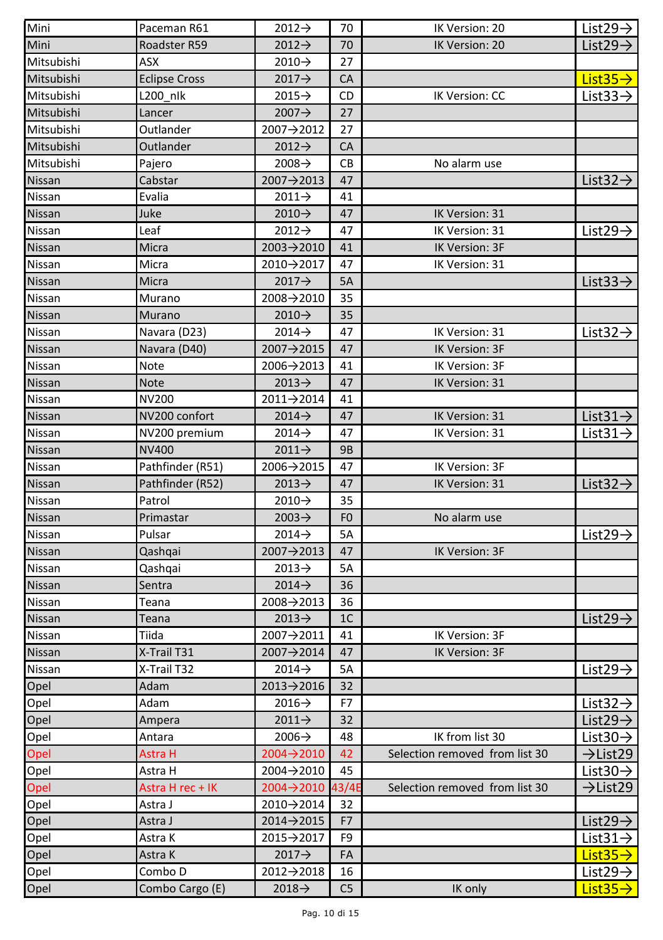| Mini       | Paceman R61          | $2012 \rightarrow$ | 70             | IK Version: 20                 | List $29 \rightarrow$ |
|------------|----------------------|--------------------|----------------|--------------------------------|-----------------------|
| Mini       | Roadster R59         | $2012 \rightarrow$ | 70             | IK Version: 20                 | List29 $\rightarrow$  |
| Mitsubishi | ASX                  | $2010 \rightarrow$ | 27             |                                |                       |
| Mitsubishi | <b>Eclipse Cross</b> | 2017→              | CA             |                                | $List35\rightarrow$   |
| Mitsubishi | L200 nlk             | $2015 \rightarrow$ | CD             | IK Version: CC                 | List $33 \rightarrow$ |
| Mitsubishi | Lancer               | $2007 \rightarrow$ | 27             |                                |                       |
| Mitsubishi | Outlander            | 2007→2012          | 27             |                                |                       |
| Mitsubishi | Outlander            | 2012→              | CA             |                                |                       |
| Mitsubishi | Pajero               | 2008 $\rightarrow$ | CВ             | No alarm use                   |                       |
| Nissan     | Cabstar              | 2007→2013          | 47             |                                | List $32 \rightarrow$ |
| Nissan     | Evalia               | $2011 \rightarrow$ | 41             |                                |                       |
| Nissan     | Juke                 | $2010 \rightarrow$ | 47             | IK Version: 31                 |                       |
| Nissan     | Leaf                 | $2012 \rightarrow$ | 47             | IK Version: 31                 | List $29 \rightarrow$ |
| Nissan     | Micra                | 2003→2010          | 41             | IK Version: 3F                 |                       |
| Nissan     | Micra                | 2010→2017          | 47             | IK Version: 31                 |                       |
| Nissan     | Micra                | $2017 \rightarrow$ | 5A             |                                | List $33 \rightarrow$ |
| Nissan     | Murano               | 2008→2010          | 35             |                                |                       |
| Nissan     | Murano               | $2010 \rightarrow$ | 35             |                                |                       |
| Nissan     | Navara (D23)         | $2014 \rightarrow$ | 47             | IK Version: 31                 | List $32 \rightarrow$ |
| Nissan     | Navara (D40)         | 2007→2015          | 47             | IK Version: 3F                 |                       |
| Nissan     | <b>Note</b>          | 2006→2013          | 41             | IK Version: 3F                 |                       |
| Nissan     | <b>Note</b>          | $2013 \rightarrow$ | 47             | IK Version: 31                 |                       |
| Nissan     | <b>NV200</b>         | 2011→2014          | 41             |                                |                       |
| Nissan     | NV200 confort        | 2014 $\rightarrow$ | 47             | IK Version: 31                 | List $31 \rightarrow$ |
| Nissan     | NV200 premium        | $2014 \rightarrow$ | 47             | IK Version: 31                 | List $31 \rightarrow$ |
| Nissan     | NV400                | $2011 \rightarrow$ | 9B             |                                |                       |
| Nissan     | Pathfinder (R51)     | 2006→2015          | 47             | IK Version: 3F                 |                       |
| Nissan     | Pathfinder (R52)     | 2013 $\rightarrow$ | 47             | IK Version: 31                 | List $32 \rightarrow$ |
| Nissan     | Patrol               | 2010→              | 35             |                                |                       |
| Nissan     | Primastar            | $2003 \rightarrow$ | F <sub>0</sub> | No alarm use                   |                       |
| Nissan     | Pulsar               | $2014 \rightarrow$ | 5A             |                                | List $29 \rightarrow$ |
| Nissan     | Qashqai              | 2007→2013          | 47             | IK Version: 3F                 |                       |
| Nissan     | Qashqai              | $2013 \rightarrow$ | 5A             |                                |                       |
| Nissan     | Sentra               | $2014 \rightarrow$ | 36             |                                |                       |
| Nissan     | Teana                | 2008→2013          | 36             |                                |                       |
| Nissan     | Teana                | 2013 $\rightarrow$ | 1 <sup>C</sup> |                                | List $29 \rightarrow$ |
| Nissan     | Tiida                | 2007→2011          | 41             | IK Version: 3F                 |                       |
| Nissan     | X-Trail T31          | 2007→2014          | 47             | IK Version: 3F                 |                       |
| Nissan     | X-Trail T32          | 2014 $\rightarrow$ | 5A             |                                | List29 $\rightarrow$  |
| Opel       | Adam                 | 2013→2016          | 32             |                                |                       |
| Opel       | Adam                 | 2016→              | F7             |                                | List $32 \rightarrow$ |
| Opel       | Ampera               | 2011→              | 32             |                                | List $29 \rightarrow$ |
| Opel       | Antara               | 2006→              | 48             | IK from list 30                | List $30 \rightarrow$ |
| Opel       | Astra H              | 2004→2010          | 42             | Selection removed from list 30 | $\rightarrow$ List29  |
| Opel       | Astra H              | 2004→2010          | 45             |                                | List $30 \rightarrow$ |
| Opel       | Astra H rec + IK     | 2004→2010          | 43/4E          | Selection removed from list 30 | $\rightarrow$ List29  |
| Opel       | Astra J              | 2010→2014          | 32             |                                |                       |
| Opel       | Astra J              | 2014→2015          | F7             |                                | List29 $\rightarrow$  |
| Opel       | Astra K              | 2015→2017          | F9             |                                | List $31 \rightarrow$ |
| Opel       | Astra K              | 2017→              | FA             |                                | $List35\rightarrow$   |
| Opel       | Combo D              | 2012→2018          | 16             |                                | List $29 \rightarrow$ |
| Opel       | Combo Cargo (E)      | $2018 \rightarrow$ | C <sub>5</sub> | IK only                        | List $35 \rightarrow$ |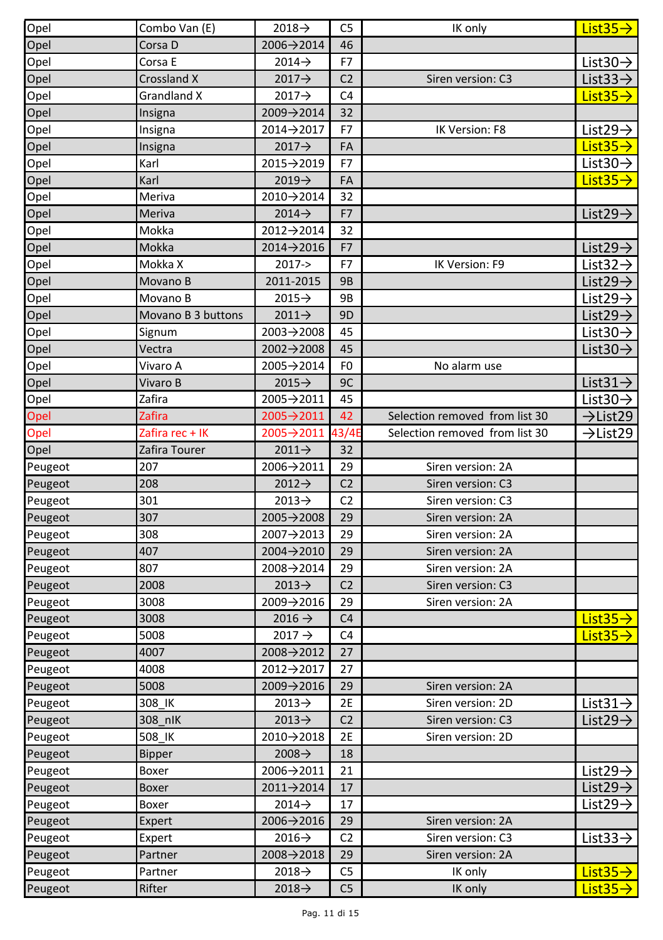| Opel    | Combo Van (E)      | $2018 \rightarrow$ | C5             | IK only                        | List $35 \rightarrow$ |
|---------|--------------------|--------------------|----------------|--------------------------------|-----------------------|
| Opel    | Corsa D            | 2006→2014          | 46             |                                |                       |
| Opel    | Corsa E            | $2014 \rightarrow$ | F7             |                                | List $30 \rightarrow$ |
| Opel    | Crossland X        | 2017→              | C <sub>2</sub> | Siren version: C3              | List $33 \rightarrow$ |
| Opel    | Grandland X        | $2017 \rightarrow$ | C <sub>4</sub> |                                | List $35 \rightarrow$ |
| Opel    | Insigna            | 2009→2014          | 32             |                                |                       |
| Opel    | Insigna            | 2014→2017          | F7             | IK Version: F8                 | List $29 \rightarrow$ |
| Opel    | Insigna            | $2017 \rightarrow$ | FA             |                                | List $35 \rightarrow$ |
| Opel    | Karl               | 2015→2019          | F7             |                                | List $30 \rightarrow$ |
| Opel    | Karl               | $2019 \rightarrow$ | FA             |                                | List $35 \rightarrow$ |
| Opel    | Meriva             | 2010→2014          | 32             |                                |                       |
| Opel    | Meriva             | $2014 \rightarrow$ | F7             |                                | List29 $\rightarrow$  |
| Opel    | Mokka              | 2012→2014          | 32             |                                |                       |
| Opel    | Mokka              | 2014->2016         | F7             |                                | List29 $\rightarrow$  |
| Opel    | Mokka X            | $2017 - >$         | F7             | IK Version: F9                 | List $32 \rightarrow$ |
| Opel    | Movano B           | 2011-2015          | <b>9B</b>      |                                | List $29 \rightarrow$ |
| Opel    | Movano B           | $2015 \rightarrow$ | 9B             |                                | List $29 \rightarrow$ |
| Opel    | Movano B 3 buttons | $2011 \rightarrow$ | 9D             |                                | List $29 \rightarrow$ |
| Opel    | Signum             | 2003→2008          | 45             |                                | List $30 \rightarrow$ |
| Opel    | Vectra             | 2002→2008          | 45             |                                | List $30 \rightarrow$ |
| Opel    | Vivaro A           | 2005→2014          | F <sub>0</sub> | No alarm use                   |                       |
| Opel    | Vivaro B           | $2015 \rightarrow$ | 9C             |                                | List $31 \rightarrow$ |
| Opel    | Zafira             | 2005→2011          | 45             |                                | List $30 \rightarrow$ |
| Opel    | <b>Zafira</b>      | 2005→2011          | 42             | Selection removed from list 30 | $\rightarrow$ List29  |
| Opel    | Zafira rec + IK    | 2005→2011          | 43/4E          | Selection removed from list 30 | $\rightarrow$ List29  |
| Opel    | Zafira Tourer      | $2011 \rightarrow$ | 32             |                                |                       |
| Peugeot | 207                | 2006→2011          | 29             | Siren version: 2A              |                       |
| Peugeot | 208                | $2012 \rightarrow$ | C <sub>2</sub> | Siren version: C3              |                       |
| Peugeot | 301                | $2013 \rightarrow$ | C <sub>2</sub> | Siren version: C3              |                       |
| Peugeot | 307                | 2005→2008          | 29             | Siren version: 2A              |                       |
| Peugeot | 308                | 2007→2013          | 29             | Siren version: 2A              |                       |
| Peugeot | 407                | 2004→2010          | 29             | Siren version: 2A              |                       |
| Peugeot | 807                | 2008→2014          | 29             | Siren version: 2A              |                       |
| Peugeot | 2008               | $2013 \rightarrow$ | C <sub>2</sub> | Siren version: C3              |                       |
| Peugeot | 3008               | 2009→2016          | 29             | Siren version: 2A              |                       |
| Peugeot | 3008               | $2016 \rightarrow$ | C <sub>4</sub> |                                | List $35 \rightarrow$ |
| Peugeot | 5008               | $2017 \rightarrow$ | C <sub>4</sub> |                                | List $35 \rightarrow$ |
| Peugeot | 4007               | 2008→2012          | 27             |                                |                       |
| Peugeot | 4008               | 2012→2017          | 27             |                                |                       |
| Peugeot | 5008               | 2009→2016          | 29             | Siren version: 2A              |                       |
| Peugeot | 308 IK             | $2013 \rightarrow$ | 2E             | Siren version: 2D              | List $31 \rightarrow$ |
| Peugeot | 308 nlK            | $2013 \rightarrow$ | C <sub>2</sub> | Siren version: C3              | List29 $\rightarrow$  |
| Peugeot | 508_IK             | 2010→2018          | 2E             | Siren version: 2D              |                       |
| Peugeot | <b>Bipper</b>      | 2008→              | 18             |                                |                       |
| Peugeot | Boxer              | 2006→2011          | 21             |                                | List29 $\rightarrow$  |
| Peugeot | Boxer              | 2011→2014          | 17             |                                | List $29 \rightarrow$ |
| Peugeot | Boxer              | $2014 \rightarrow$ | 17             |                                | List29 $\rightarrow$  |
| Peugeot | Expert             | 2006→2016          | 29             | Siren version: 2A              |                       |
| Peugeot | Expert             | $2016 \rightarrow$ | C <sub>2</sub> | Siren version: C3              | List $33 \rightarrow$ |
| Peugeot | Partner            | 2008→2018          | 29             | Siren version: 2A              |                       |
| Peugeot | Partner            | 2018→              | C <sub>5</sub> | IK only                        | List $35 \rightarrow$ |
| Peugeot | Rifter             | 2018→              | C <sub>5</sub> | IK only                        | List $35 \rightarrow$ |
|         |                    |                    |                |                                |                       |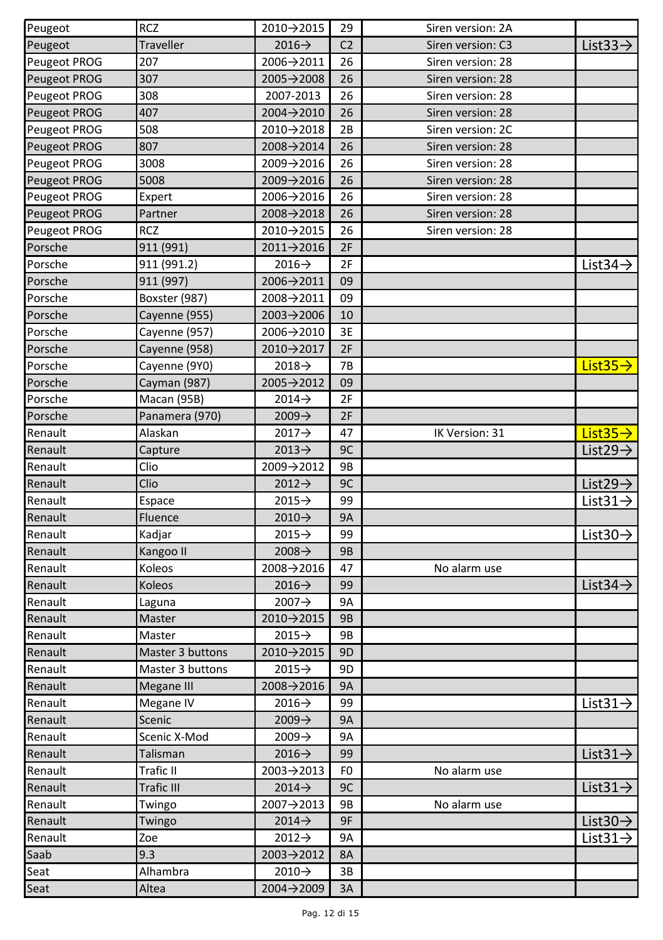| Peugeot      | <b>RCZ</b>        | 2010→2015               | 29             | Siren version: 2A |                       |
|--------------|-------------------|-------------------------|----------------|-------------------|-----------------------|
| Peugeot      | <b>Traveller</b>  | $2016 \rightarrow$      | C <sub>2</sub> | Siren version: C3 | List $33 \rightarrow$ |
| Peugeot PROG | 207               | 2006→2011               | 26             | Siren version: 28 |                       |
| Peugeot PROG | 307               | 2005→2008               | 26             | Siren version: 28 |                       |
| Peugeot PROG | 308               | 2007-2013               | 26             | Siren version: 28 |                       |
| Peugeot PROG | 407               | 2004→2010               | 26             | Siren version: 28 |                       |
| Peugeot PROG | 508               | 2010→2018               | 2B             | Siren version: 2C |                       |
| Peugeot PROG | 807               | 2008→2014               | 26             | Siren version: 28 |                       |
| Peugeot PROG | 3008              | 2009→2016               | 26             | Siren version: 28 |                       |
| Peugeot PROG | 5008              | 2009→2016               | 26             | Siren version: 28 |                       |
| Peugeot PROG | Expert            | 2006→2016               | 26             | Siren version: 28 |                       |
| Peugeot PROG | Partner           | $2008 \rightarrow 2018$ | 26             | Siren version: 28 |                       |
| Peugeot PROG | <b>RCZ</b>        | 2010→2015               | 26             | Siren version: 28 |                       |
| Porsche      | 911 (991)         | 2011→2016               | 2F             |                   |                       |
| Porsche      | 911 (991.2)       | $2016 \rightarrow$      | 2F             |                   | List $34 \rightarrow$ |
| Porsche      | 911 (997)         | 2006→2011               | 09             |                   |                       |
| Porsche      | Boxster (987)     | 2008→2011               | 09             |                   |                       |
| Porsche      | Cayenne (955)     | $2003 \rightarrow 2006$ | 10             |                   |                       |
| Porsche      | Cayenne (957)     | 2006→2010               | 3E             |                   |                       |
| Porsche      | Cayenne (958)     | 2010→2017               | 2F             |                   |                       |
| Porsche      | Cayenne (9Y0)     | $2018 \rightarrow$      | 7B             |                   | List $35 \rightarrow$ |
| Porsche      | Cayman (987)      | 2005→2012               | 09             |                   |                       |
| Porsche      | Macan (95B)       | $2014 \rightarrow$      | 2F             |                   |                       |
| Porsche      | Panamera (970)    | $2009 \rightarrow$      | 2F             |                   |                       |
| Renault      | Alaskan           | 2017→                   | 47             | IK Version: 31    | List $35 \rightarrow$ |
| Renault      | Capture           | $2013 \rightarrow$      | 9C             |                   | List29 $\rightarrow$  |
| Renault      | Clio              | 2009→2012               | 9Β             |                   |                       |
| Renault      | Clio              | $2012 \rightarrow$      | 9C             |                   | List $29 \rightarrow$ |
| Renault      | Espace            | $2015 \rightarrow$      | 99             |                   | List $31 \rightarrow$ |
| Renault      | Fluence           | $2010 \rightarrow$      | <b>9A</b>      |                   |                       |
| Renault      | Kadjar            | $2015 \rightarrow$      | 99             |                   | List $30 \rightarrow$ |
| Renault      | Kangoo II         | $2008 \rightarrow$      | 9B             |                   |                       |
| Renault      | Koleos            | 2008→2016               | 47             | No alarm use      |                       |
| Renault      | Koleos            | $2016 \rightarrow$      | 99             |                   | List $34 \rightarrow$ |
| Renault      | Laguna            | $2007 \rightarrow$      | 9A             |                   |                       |
| Renault      | Master            | 2010→2015               | 9B             |                   |                       |
| Renault      | Master            | $2015 \rightarrow$      | 9B             |                   |                       |
| Renault      | Master 3 buttons  | 2010→2015               | 9 <sub>D</sub> |                   |                       |
| Renault      | Master 3 buttons  | $2015 \rightarrow$      | 9D             |                   |                       |
| Renault      | Megane III        | 2008→2016               | <b>9A</b>      |                   |                       |
| Renault      | Megane IV         | $2016 \rightarrow$      | 99             |                   | List $31 \rightarrow$ |
| Renault      | Scenic            | $2009 \rightarrow$      | <b>9A</b>      |                   |                       |
| Renault      | Scenic X-Mod      | $2009 \rightarrow$      | 9A             |                   |                       |
| Renault      | Talisman          | $2016 \rightarrow$      | 99             |                   | List $31 \rightarrow$ |
| Renault      | Trafic II         | 2003→2013               | F <sub>0</sub> | No alarm use      |                       |
| Renault      | <b>Trafic III</b> | $2014 \rightarrow$      | 9C             |                   | List $31 \rightarrow$ |
| Renault      | Twingo            | 2007→2013               | 9B             | No alarm use      |                       |
| Renault      | Twingo            | $2014 \rightarrow$      | 9F             |                   | List $30 \rightarrow$ |
| Renault      | Zoe               | $2012 \rightarrow$      | 9A             |                   | List $31 \rightarrow$ |
| Saab         | 9.3               | 2003→2012               | 8A             |                   |                       |
| Seat         | Alhambra          | $2010 \rightarrow$      | 3B             |                   |                       |
| Seat         | Altea             | 2004→2009               | 3A             |                   |                       |
|              |                   |                         |                |                   |                       |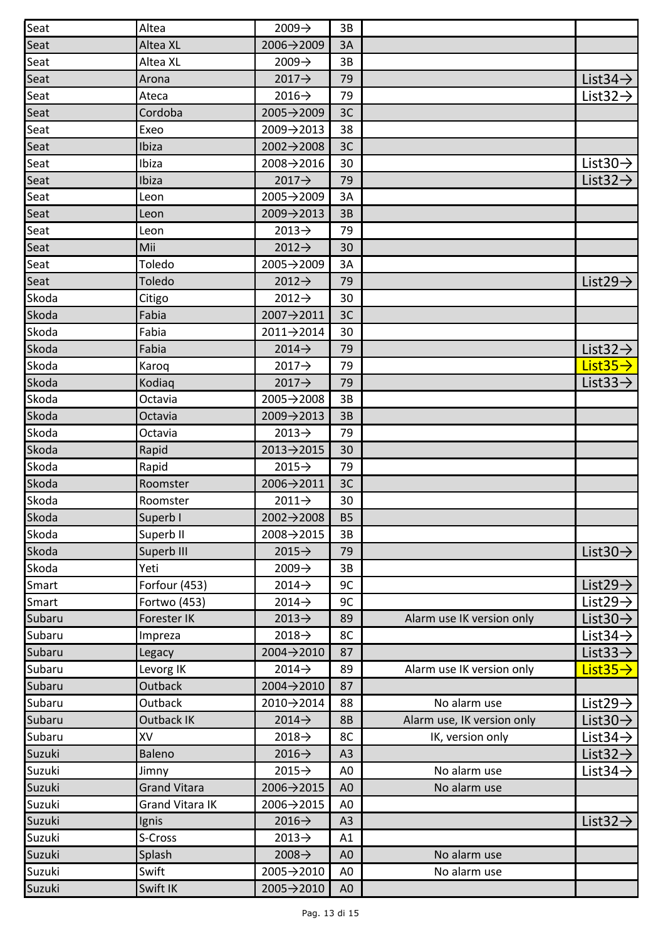| Seat   | Altea               | $2009 \rightarrow$ | 3B             |                            |                       |
|--------|---------------------|--------------------|----------------|----------------------------|-----------------------|
| Seat   | Altea XL            | 2006→2009          | 3A             |                            |                       |
| Seat   | Altea XL            | $2009 \rightarrow$ | 3B             |                            |                       |
| Seat   | Arona               | $2017 \rightarrow$ | 79             |                            | List $34 \rightarrow$ |
| Seat   | Ateca               | $2016 \rightarrow$ | 79             |                            | List $32 \rightarrow$ |
| Seat   | Cordoba             | 2005→2009          | 3C             |                            |                       |
| Seat   | Exeo                | 2009→2013          | 38             |                            |                       |
| Seat   | Ibiza               | 2002→2008          | 3C             |                            |                       |
| Seat   | Ibiza               | 2008→2016          | 30             |                            | List $30 \rightarrow$ |
| Seat   | Ibiza               | 2017→              | 79             |                            | List $32 \rightarrow$ |
| Seat   | Leon                | 2005→2009          | 3A             |                            |                       |
| Seat   | Leon                | 2009→2013          | 3B             |                            |                       |
| Seat   | Leon                | $2013 \rightarrow$ | 79             |                            |                       |
| Seat   | Mii                 | $2012 \rightarrow$ | 30             |                            |                       |
| Seat   | Toledo              | 2005→2009          | 3A             |                            |                       |
| Seat   | Toledo              | $2012 \rightarrow$ | 79             |                            | List $29 \rightarrow$ |
| Skoda  | Citigo              | $2012 \rightarrow$ | 30             |                            |                       |
| Skoda  | Fabia               | 2007→2011          | 3C             |                            |                       |
| Skoda  | Fabia               | 2011→2014          | 30             |                            |                       |
| Skoda  | Fabia               | $2014 \rightarrow$ | 79             |                            | List $32 \rightarrow$ |
| Skoda  | Karoq               | $2017 \rightarrow$ | 79             |                            | List $35 \rightarrow$ |
| Skoda  | Kodiaq              | $2017 \rightarrow$ | 79             |                            | List $33 \rightarrow$ |
| Skoda  | Octavia             | 2005→2008          | 3B             |                            |                       |
| Skoda  | Octavia             | 2009→2013          | 3B             |                            |                       |
| Skoda  | Octavia             | $2013 \rightarrow$ | 79             |                            |                       |
| Skoda  | Rapid               | 2013→2015          | 30             |                            |                       |
| Skoda  | Rapid               | $2015 \rightarrow$ | 79             |                            |                       |
| Skoda  | Roomster            | 2006→2011          | 3C             |                            |                       |
| Skoda  | Roomster            | $2011 \rightarrow$ | 30             |                            |                       |
| Skoda  | Superb I            | 2002→2008          | <b>B5</b>      |                            |                       |
| Skoda  | Superb II           | 2008→2015          | 3B             |                            |                       |
| Skoda  | Superb III          | $2015 \rightarrow$ | 79             |                            | List $30 \rightarrow$ |
| Skoda  | Yeti                | $2009 \rightarrow$ | 3B             |                            |                       |
| Smart  | Forfour (453)       | $2014 \rightarrow$ | 9C             |                            | List29 $\rightarrow$  |
| Smart  | Fortwo (453)        | $2014 \rightarrow$ | 9C             |                            | List $29 \rightarrow$ |
| Subaru | Forester IK         | $2013 \rightarrow$ | 89             | Alarm use IK version only  | List $30 \rightarrow$ |
| Subaru | Impreza             | $2018 \rightarrow$ | 8C             |                            | List $34 \rightarrow$ |
| Subaru | Legacy              | 2004→2010          | 87             |                            | List $33 \rightarrow$ |
| Subaru | Levorg IK           | $2014 \rightarrow$ | 89             | Alarm use IK version only  | List $35 \rightarrow$ |
| Subaru | Outback             | 2004→2010          | 87             |                            |                       |
| Subaru | Outback             | 2010→2014          | 88             | No alarm use               | List $29 \rightarrow$ |
| Subaru | <b>Outback IK</b>   | $2014 \rightarrow$ | <b>8B</b>      | Alarm use, IK version only | List $30 \rightarrow$ |
| Subaru | XV                  | $2018 \rightarrow$ | 8C             | IK, version only           | List $34 \rightarrow$ |
| Suzuki | Baleno              | $2016 \rightarrow$ | A <sub>3</sub> |                            | List $32 \rightarrow$ |
| Suzuki | Jimny               | $2015 \rightarrow$ | A0             | No alarm use               | List 34 $\rightarrow$ |
| Suzuki | <b>Grand Vitara</b> | 2006→2015          | A <sub>0</sub> | No alarm use               |                       |
| Suzuki | Grand Vitara IK     | 2006→2015          | A <sub>0</sub> |                            |                       |
| Suzuki | Ignis               | $2016 \rightarrow$ | A3             |                            | List $32 \rightarrow$ |
| Suzuki | S-Cross             | $2013 \rightarrow$ | A1             |                            |                       |
| Suzuki | Splash              | $2008 \rightarrow$ | A0             | No alarm use               |                       |
| Suzuki | Swift               | 2005→2010          | A0             | No alarm use               |                       |
| Suzuki | Swift IK            | 2005→2010          | A <sub>0</sub> |                            |                       |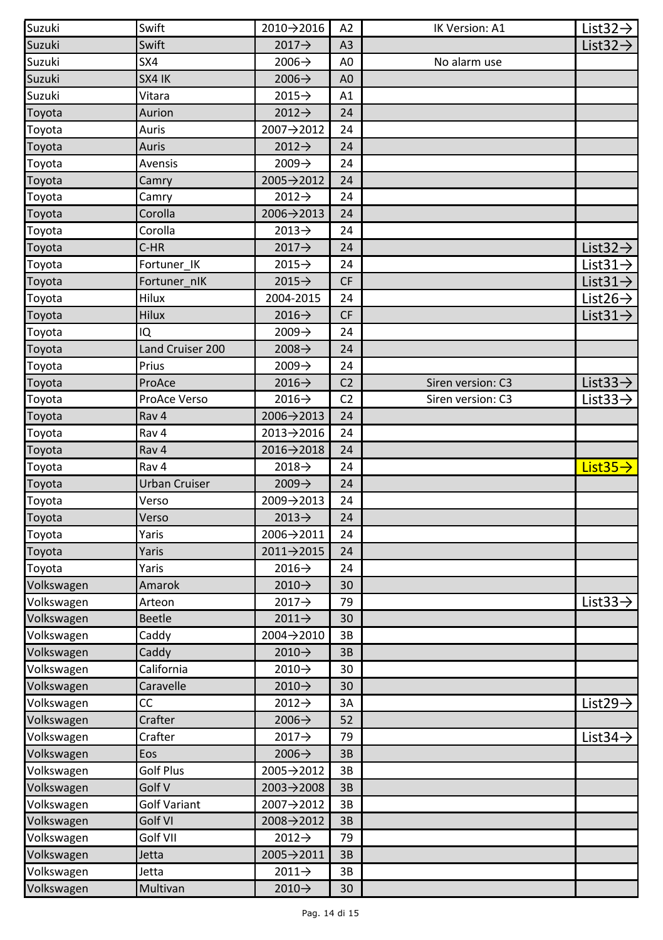| Suzuki     | Swift            | 2010→2016          | A <sub>2</sub> | IK Version: A1    | List $32 \rightarrow$ |
|------------|------------------|--------------------|----------------|-------------------|-----------------------|
| Suzuki     | Swift            | $2017 \rightarrow$ | A3             |                   | List $32 \rightarrow$ |
| Suzuki     | SX4              | $2006 \rightarrow$ | A0             | No alarm use      |                       |
| Suzuki     | SX4 IK           | $2006 \rightarrow$ | A0             |                   |                       |
| Suzuki     | Vitara           | $2015 \rightarrow$ | A1             |                   |                       |
| Toyota     | Aurion           | $2012 \rightarrow$ | 24             |                   |                       |
| Toyota     | Auris            | 2007→2012          | 24             |                   |                       |
| Toyota     | Auris            | $2012 \rightarrow$ | 24             |                   |                       |
| Toyota     | Avensis          | $2009 \rightarrow$ | 24             |                   |                       |
| Toyota     | Camry            | 2005→2012          | 24             |                   |                       |
| Toyota     | Camry            | $2012 \rightarrow$ | 24             |                   |                       |
| Toyota     | Corolla          | 2006→2013          | 24             |                   |                       |
| Toyota     | Corolla          | $2013 \rightarrow$ | 24             |                   |                       |
| Toyota     | C-HR             | $2017 \rightarrow$ | 24             |                   | List $32 \rightarrow$ |
| Toyota     | Fortuner IK      | $2015 \rightarrow$ | 24             |                   | List $31 \rightarrow$ |
| Toyota     | Fortuner nIK     | $2015 \rightarrow$ | <b>CF</b>      |                   | List $31 \rightarrow$ |
| Toyota     | Hilux            | 2004-2015          | 24             |                   | List26 $\rightarrow$  |
| Toyota     | Hilux            | $2016 \rightarrow$ | <b>CF</b>      |                   | List $31 \rightarrow$ |
| Toyota     | IQ               | $2009 \rightarrow$ | 24             |                   |                       |
| Toyota     | Land Cruiser 200 | $2008 \rightarrow$ | 24             |                   |                       |
| Toyota     | Prius            | $2009 \rightarrow$ | 24             |                   |                       |
| Toyota     | ProAce           | $2016 \rightarrow$ | C <sub>2</sub> | Siren version: C3 | List $33 \rightarrow$ |
| Toyota     | ProAce Verso     | $2016 \rightarrow$ | C <sub>2</sub> | Siren version: C3 | List $33 \rightarrow$ |
| Toyota     | Rav <sub>4</sub> | 2006→2013          | 24             |                   |                       |
| Toyota     | Rav 4            | 2013→2016          | 24             |                   |                       |
| Toyota     | Rav 4            | 2016→2018          | 24             |                   |                       |
| Toyota     | Rav 4            | $2018 \rightarrow$ | 24             |                   | List $35 \rightarrow$ |
| Toyota     | Urban Cruiser    | $2009 \rightarrow$ | 24             |                   |                       |
| Toyota     | Verso            | 2009→2013          | 24             |                   |                       |
| Toyota     | Verso            | $2013 \rightarrow$ | 24             |                   |                       |
| Toyota     | Yaris            | 2006→2011          | 24             |                   |                       |
| Toyota     | Yaris            | 2011→2015          | 24             |                   |                       |
| Toyota     | Yaris            | $2016 \rightarrow$ | 24             |                   |                       |
| Volkswagen | Amarok           | 2010→              | 30             |                   |                       |
| Volkswagen | Arteon           | $2017 \rightarrow$ | 79             |                   | List $33 \rightarrow$ |
| Volkswagen | Beetle           | $2011 \rightarrow$ | 30             |                   |                       |
| Volkswagen | Caddy            | 2004→2010          | 3B             |                   |                       |
| Volkswagen | Caddy            | 2010→              | 3B             |                   |                       |
| Volkswagen | California       | $2010 \rightarrow$ | 30             |                   |                       |
| Volkswagen | Caravelle        | 2010→              | 30             |                   |                       |
| Volkswagen | СC               | $2012 \rightarrow$ | 3A             |                   | List29 $\rightarrow$  |
| Volkswagen | Crafter          | $2006 \rightarrow$ | 52             |                   |                       |
| Volkswagen | Crafter          | 2017→              | 79             |                   | List $34 \rightarrow$ |
| Volkswagen | Eos              | $2006 \rightarrow$ | 3B             |                   |                       |
| Volkswagen | Golf Plus        | 2005→2012          | 3B             |                   |                       |
| Volkswagen | Golf V           | $2003 + 2008$      | 3B             |                   |                       |
| Volkswagen | Golf Variant     | 2007→2012          | 3B             |                   |                       |
| Volkswagen | Golf VI          | 2008→2012          | 3B             |                   |                       |
| Volkswagen | Golf VII         | $2012 \rightarrow$ | 79             |                   |                       |
| Volkswagen | Jetta            | 2005→2011          | 3B             |                   |                       |
| Volkswagen | Jetta            | 2011→              | 3B             |                   |                       |
| Volkswagen | Multivan         | 2010→              | 30             |                   |                       |